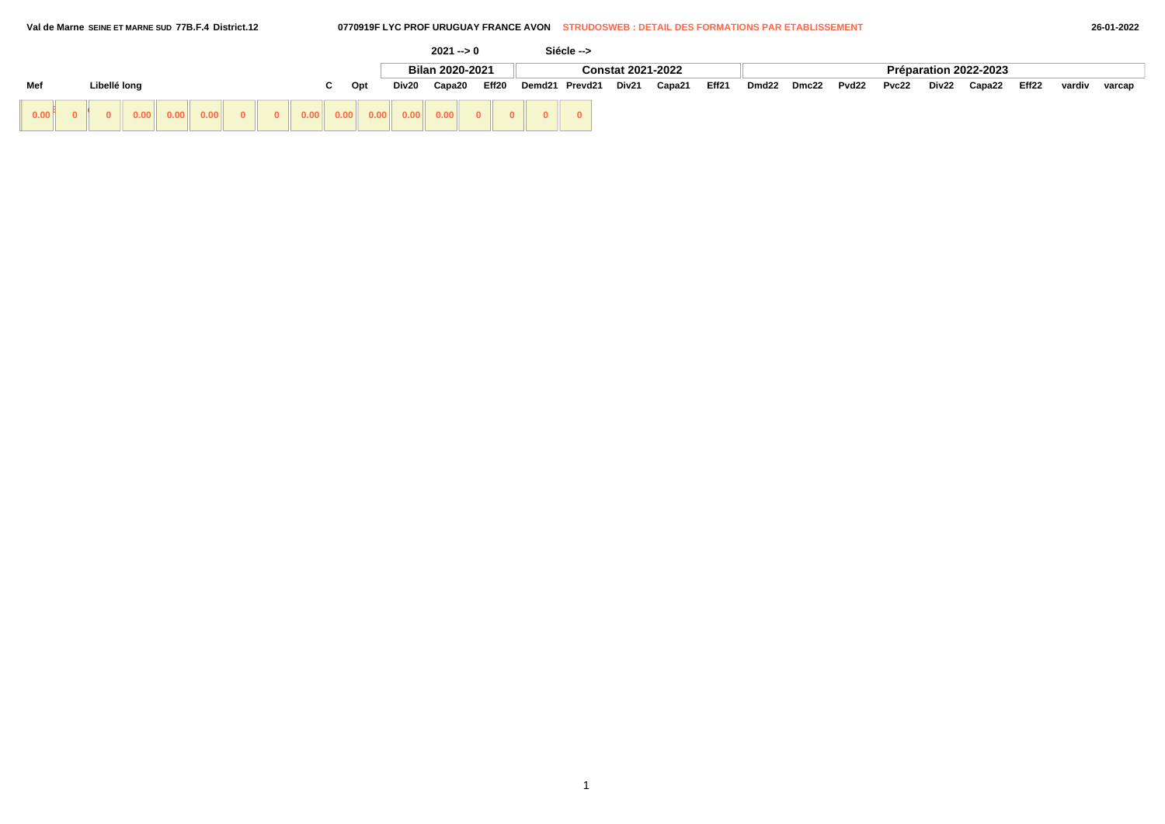### **Val de Marne SEINE ET MARNE SUD 77B.F.4 District.12 0770919F LYC PROF URUGUAY FRANCE AVON STRUDOSWEB : DETAIL DES FORMATIONS PAR ETABLISSEMENT 26-01-2022**

|      |              |                                     |  |  |    |     |       | $2021 - 0$      |       | Siécle -->     |                          |        |       |       |       |       |       |       |                       |       |        |        |
|------|--------------|-------------------------------------|--|--|----|-----|-------|-----------------|-------|----------------|--------------------------|--------|-------|-------|-------|-------|-------|-------|-----------------------|-------|--------|--------|
|      |              |                                     |  |  |    |     |       | Bilan 2020-2021 |       |                | <b>Constat 2021-2022</b> |        |       |       |       |       |       |       | Préparation 2022-2023 |       |        |        |
| Mef  | Libellé long |                                     |  |  | C. | Opt | Div20 | Capa20          | Eff20 | Demd21 Prevd21 | Div21                    | Capa21 | Eff21 | Dmd22 | Dmc22 | Pvd22 | Pvc22 | Div22 | Capa22                | Eff22 | vardiv | varcap |
| 0.00 |              | $\vert 0.00 \vert \vert 0.00 \vert$ |  |  |    |     |       |                 |       |                |                          |        |       |       |       |       |       |       |                       |       |        |        |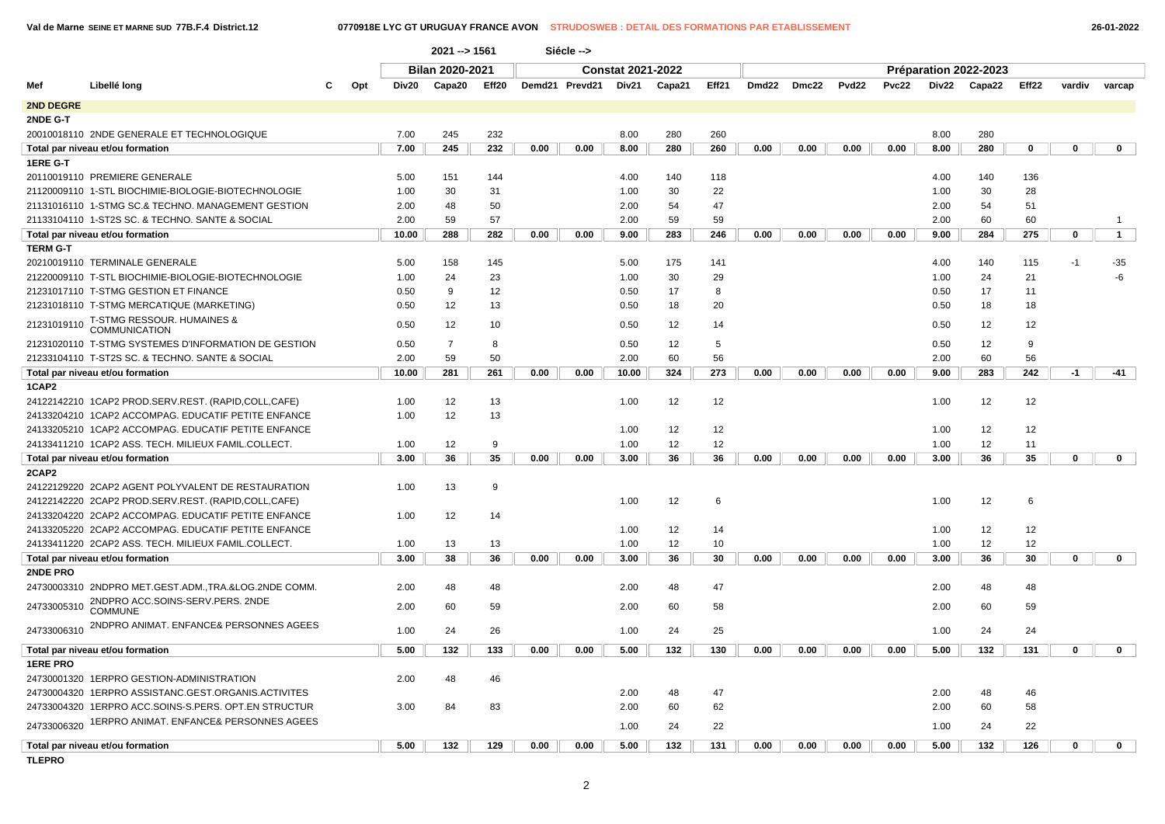| 26-01-2022 |
|------------|
|            |

|                 |                                                               |     |       | $2021 - 51561$  |                   |      | Siécle -->     |                          |        |       |                   |       |                   |       |       |                       |       |        |              |
|-----------------|---------------------------------------------------------------|-----|-------|-----------------|-------------------|------|----------------|--------------------------|--------|-------|-------------------|-------|-------------------|-------|-------|-----------------------|-------|--------|--------------|
|                 |                                                               |     |       | Bilan 2020-2021 |                   |      |                | <b>Constat 2021-2022</b> |        |       |                   |       |                   |       |       | Préparation 2022-2023 |       |        |              |
| Mef             | Libellé long                                                  | Opt | Div20 | Capa20          | Eff <sub>20</sub> |      | Demd21 Prevd21 | Div21                    | Capa21 | Eff21 | Dmd <sub>22</sub> | Dmc22 | Pvd <sub>22</sub> | Pvc22 | Div22 | Capa22                | Eff22 | vardiv | varcap       |
| 2ND DEGRE       |                                                               |     |       |                 |                   |      |                |                          |        |       |                   |       |                   |       |       |                       |       |        |              |
| 2NDE G-T        |                                                               |     |       |                 |                   |      |                |                          |        |       |                   |       |                   |       |       |                       |       |        |              |
|                 | 20010018110 2NDE GENERALE ET TECHNOLOGIQUE                    |     | 7.00  | 245             | 232               |      |                | 8.00                     | 280    | 260   |                   |       |                   |       | 8.00  | 280                   |       |        |              |
|                 | Total par niveau et/ou formation                              |     | 7.00  | 245             | 232               | 0.00 | 0.00           | 8.00                     | 280    | 260   | 0.00              | 0.00  | 0.00              | 0.00  | 8.00  | 280                   | 0     | 0      | $\mathbf 0$  |
| <b>1ERE G-T</b> |                                                               |     |       |                 |                   |      |                |                          |        |       |                   |       |                   |       |       |                       |       |        |              |
|                 | 20110019110 PREMIERE GENERALE                                 |     | 5.00  | 151             | 144               |      |                | 4.00                     | 140    | 118   |                   |       |                   |       | 4.00  | 140                   | 136   |        |              |
|                 | 21120009110 1-STL BIOCHIMIE-BIOLOGIE-BIOTECHNOLOGIE           |     | 1.00  | 30              | 31                |      |                | 1.00                     | 30     | 22    |                   |       |                   |       | 1.00  | 30                    | 28    |        |              |
|                 | 21131016110 1-STMG SC.& TECHNO. MANAGEMENT GESTION            |     | 2.00  | 48              | 50                |      |                | 2.00                     | 54     | 47    |                   |       |                   |       | 2.00  | 54                    | 51    |        |              |
|                 | 21133104110 1-ST2S SC. & TECHNO. SANTE & SOCIAL               |     | 2.00  | 59              | 57                |      |                | 2.00                     | 59     | 59    |                   |       |                   |       | 2.00  | 60                    | 60    |        | -1           |
|                 | Total par niveau et/ou formation                              |     | 10.00 | 288             | 282               | 0.00 | 0.00           | 9.00                     | 283    | 246   | 0.00              | 0.00  | 0.00              | 0.00  | 9.00  | 284                   | 275   | 0      | $\mathbf{1}$ |
| <b>TERM G-T</b> |                                                               |     |       |                 |                   |      |                |                          |        |       |                   |       |                   |       |       |                       |       |        |              |
|                 | 20210019110 TERMINALE GENERALE                                |     | 5.00  | 158             | 145               |      |                | 5.00                     | 175    | 141   |                   |       |                   |       | 4.00  | 140                   | 115   | $-1$   | -35          |
|                 | 21220009110 T-STL BIOCHIMIE-BIOLOGIE-BIOTECHNOLOGIE           |     | 1.00  | 24              | 23                |      |                | 1.00                     | 30     | 29    |                   |       |                   |       | 1.00  | 24                    | 21    |        | $-6$         |
|                 | 21231017110 T-STMG GESTION ET FINANCE                         |     | 0.50  | 9               | 12                |      |                | 0.50                     | 17     | 8     |                   |       |                   |       | 0.50  | 17                    | 11    |        |              |
|                 | 21231018110 T-STMG MERCATIQUE (MARKETING)                     |     | 0.50  | 12              | 13                |      |                | 0.50                     | 18     | 20    |                   |       |                   |       | 0.50  | 18                    | 18    |        |              |
| 21231019110     | <b>T-STMG RESSOUR. HUMAINES &amp;</b><br><b>COMMUNICATION</b> |     | 0.50  | 12              | 10                |      |                | 0.50                     | 12     | 14    |                   |       |                   |       | 0.50  | 12                    | 12    |        |              |
|                 | 21231020110 T-STMG SYSTEMES D'INFORMATION DE GESTION          |     | 0.50  | $\overline{7}$  | 8                 |      |                | 0.50                     | 12     | 5     |                   |       |                   |       | 0.50  | 12                    | 9     |        |              |
|                 | 21233104110 T-ST2S SC. & TECHNO. SANTE & SOCIAL               |     | 2.00  | 59              | 50                |      |                | 2.00                     | 60     | 56    |                   |       |                   |       | 2.00  | 60                    | 56    |        |              |
|                 | Total par niveau et/ou formation                              |     | 10.00 | 281             | 261               | 0.00 | 0.00           | 10.00                    | 324    | 273   | 0.00              | 0.00  | 0.00              | 0.00  | 9.00  | 283                   | 242   | $-1$   | $-41$        |
| 1CAP2           |                                                               |     |       |                 |                   |      |                |                          |        |       |                   |       |                   |       |       |                       |       |        |              |
|                 | 24122142210 1CAP2 PROD.SERV.REST. (RAPID,COLL,CAFE)           |     | 1.00  | 12              | 13                |      |                | 1.00                     | 12     | 12    |                   |       |                   |       | 1.00  | 12                    | 12    |        |              |
|                 | 24133204210 1CAP2 ACCOMPAG. EDUCATIF PETITE ENFANCE           |     | 1.00  | 12              | 13                |      |                |                          |        |       |                   |       |                   |       |       |                       |       |        |              |
|                 | 24133205210 1CAP2 ACCOMPAG. EDUCATIF PETITE ENFANCE           |     |       |                 |                   |      |                | 1.00                     | 12     | 12    |                   |       |                   |       | 1.00  | 12                    | 12    |        |              |
|                 | 24133411210 1CAP2 ASS. TECH. MILIEUX FAMIL.COLLECT.           |     | 1.00  | 12              | 9                 |      |                | 1.00                     | 12     | 12    |                   |       |                   |       | 1.00  | 12                    | 11    |        |              |
|                 | Total par niveau et/ou formation                              |     | 3.00  | 36              | 35                | 0.00 | 0.00           | 3.00                     | 36     | 36    | 0.00              | 0.00  | 0.00              | 0.00  | 3.00  | 36                    | 35    | 0      | $\mathbf{0}$ |
| 2CAP2           |                                                               |     |       |                 |                   |      |                |                          |        |       |                   |       |                   |       |       |                       |       |        |              |
|                 | 24122129220 2CAP2 AGENT POLYVALENT DE RESTAURATION            |     | 1.00  | 13              | 9                 |      |                |                          |        |       |                   |       |                   |       |       |                       |       |        |              |
|                 | 24122142220 2CAP2 PROD.SERV.REST. (RAPID,COLL,CAFE)           |     |       |                 |                   |      |                | 1.00                     | 12     | 6     |                   |       |                   |       | 1.00  | 12                    | 6     |        |              |
|                 | 24133204220 2CAP2 ACCOMPAG. EDUCATIF PETITE ENFANCE           |     | 1.00  | 12              | 14                |      |                |                          |        |       |                   |       |                   |       |       |                       |       |        |              |
|                 | 24133205220 2CAP2 ACCOMPAG. EDUCATIF PETITE ENFANCE           |     |       |                 |                   |      |                | 1.00                     | 12     | 14    |                   |       |                   |       | 1.00  | 12                    | 12    |        |              |
|                 | 24133411220 2CAP2 ASS. TECH. MILIEUX FAMIL.COLLECT.           |     | 1.00  | 13              | 13                |      |                | 1.00                     | 12     | 10    |                   |       |                   |       | 1.00  | 12                    | 12    |        |              |
|                 | Total par niveau et/ou formation                              |     | 3.00  | 38              | 36                | 0.00 | 0.00           | 3.00                     | 36     | 30    | 0.00              | 0.00  | 0.00              | 0.00  | 3.00  | 36                    | 30    | 0      | $\mathbf 0$  |
| 2NDE PRO        |                                                               |     |       |                 |                   |      |                |                          |        |       |                   |       |                   |       |       |                       |       |        |              |
|                 | 24730003310 2NDPRO MET.GEST.ADM.,TRA.&LOG.2NDE COMM.          |     | 2.00  | 48              | 48                |      |                | 2.00                     | 48     | 47    |                   |       |                   |       | 2.00  | 48                    | 48    |        |              |
| 24733005310     | 2NDPRO ACC.SOINS-SERV.PERS. 2NDE<br><b>COMMUNE</b>            |     | 2.00  | 60              | 59                |      |                | 2.00                     | 60     | 58    |                   |       |                   |       | 2.00  | 60                    | 59    |        |              |
| 24733006310     | 2NDPRO ANIMAT. ENFANCE& PERSONNES AGEES                       |     | 1.00  | 24              | 26                |      |                | 1.00                     | 24     | 25    |                   |       |                   |       | 1.00  | 24                    | 24    |        |              |
|                 | Total par niveau et/ou formation                              |     | 5.00  | 132             | 133               | 0.00 | 0.00           | 5.00                     | 132    | 130   | 0.00              | 0.00  | 0.00              | 0.00  | 5.00  | 132                   | 131   | 0      | $\mathbf{0}$ |
| <b>1ERE PRO</b> |                                                               |     |       |                 |                   |      |                |                          |        |       |                   |       |                   |       |       |                       |       |        |              |
|                 | 24730001320 1ERPRO GESTION-ADMINISTRATION                     |     | 2.00  | 48              | 46                |      |                |                          |        |       |                   |       |                   |       |       |                       |       |        |              |
|                 | 24730004320 1ERPRO ASSISTANC.GEST.ORGANIS.ACTIVITES           |     |       |                 |                   |      |                | 2.00                     | 48     | 47    |                   |       |                   |       | 2.00  | 48                    | 46    |        |              |
|                 | 24733004320 1ERPRO ACC.SOINS-S.PERS, OPT.EN STRUCTUR          |     | 3.00  | 84              | 83                |      |                | 2.00                     | 60     | 62    |                   |       |                   |       | 2.00  | 60                    | 58    |        |              |
| 24733006320     | 1ERPRO ANIMAT. ENFANCE& PERSONNES AGEES                       |     |       |                 |                   |      |                | 1.00                     | 24     | 22    |                   |       |                   |       | 1.00  | 24                    | 22    |        |              |
|                 | Total par niveau et/ou formation                              |     | 5.00  | 132             | 129               | 0.00 | 0.00           | 5.00                     | 132    | 131   | 0.00              | 0.00  | 0.00              | 0.00  | 5.00  | 132                   | 126   | 0      | $\mathbf 0$  |
| <b>TURBO</b>    |                                                               |     |       |                 |                   |      |                |                          |        |       |                   |       |                   |       |       |                       |       |        |              |

**TLEPRO**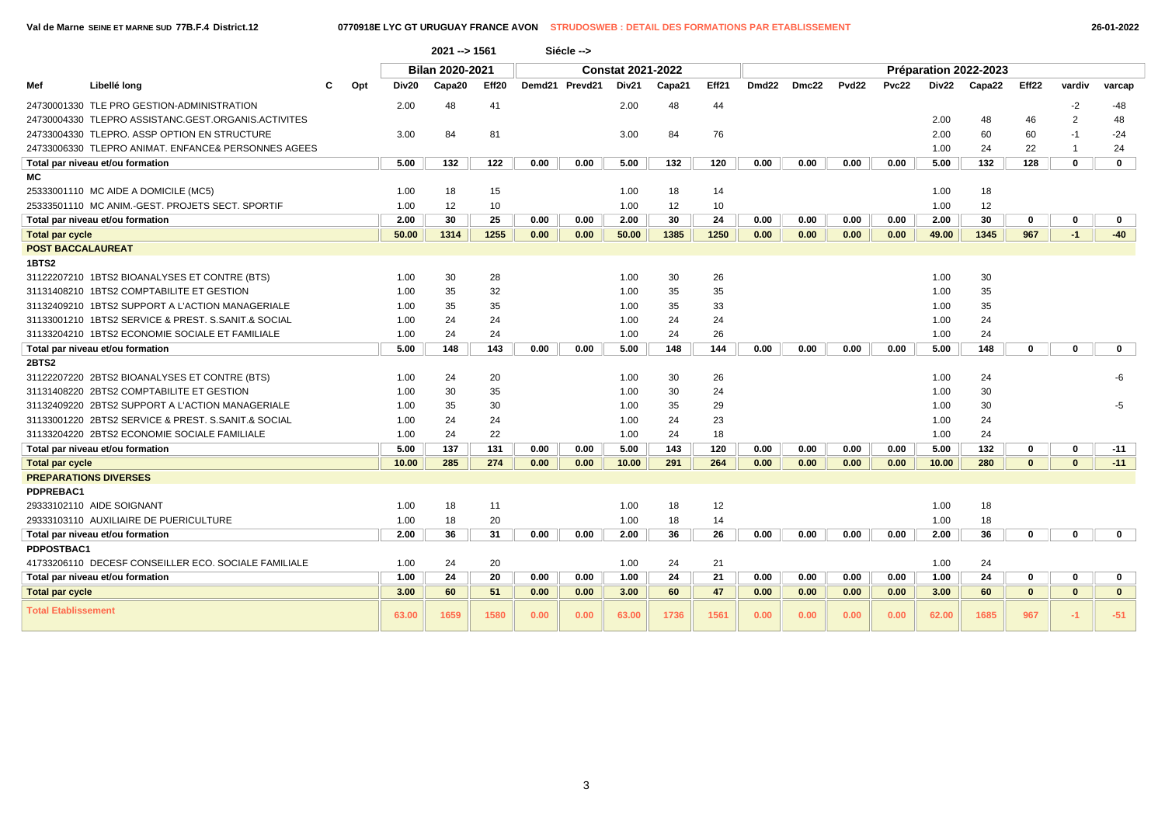|                            |                                                      |     |       | $2021 - 51561$  |       |      | Siécle -->     |                          |        |       |                   |       |                   |       |       |                       |              |                |              |
|----------------------------|------------------------------------------------------|-----|-------|-----------------|-------|------|----------------|--------------------------|--------|-------|-------------------|-------|-------------------|-------|-------|-----------------------|--------------|----------------|--------------|
|                            |                                                      |     |       | Bilan 2020-2021 |       |      |                | <b>Constat 2021-2022</b> |        |       |                   |       |                   |       |       | Préparation 2022-2023 |              |                |              |
| Mef                        | Libellé long                                         | Opt | Div20 | Capa20          | Eff20 |      | Demd21 Prevd21 | Div21                    | Capa21 | Eff21 | Dmd <sub>22</sub> | Dmc22 | Pvd <sub>22</sub> | Pvc22 | Div22 | Capa22                | Eff22        | vardiv         | varcap       |
|                            | 24730001330 TLE PRO GESTION-ADMINISTRATION           |     | 2.00  | 48              | 41    |      |                | 2.00                     | 48     | 44    |                   |       |                   |       |       |                       |              | $-2$           | -48          |
|                            | 24730004330 TLEPRO ASSISTANC.GEST.ORGANIS.ACTIVITES  |     |       |                 |       |      |                |                          |        |       |                   |       |                   |       | 2.00  | 48                    | 46           | $\overline{2}$ | 48           |
|                            | 24733004330 TLEPRO. ASSP OPTION EN STRUCTURE         |     | 3.00  | 84              | 81    |      |                | 3.00                     | 84     | 76    |                   |       |                   |       | 2.00  | 60                    | 60           | -1             | $-24$        |
|                            | 24733006330 TLEPRO ANIMAT. ENFANCE& PERSONNES AGEES  |     |       |                 |       |      |                |                          |        |       |                   |       |                   |       | 1.00  | 24                    | 22           | $\mathbf 1$    | 24           |
|                            | Total par niveau et/ou formation                     |     | 5.00  | 132             | 122   | 0.00 | 0.00           | 5.00                     | 132    | 120   | 0.00              | 0.00  | 0.00              | 0.00  | 5.00  | 132                   | 128          | 0              | $\mathbf 0$  |
| МC                         |                                                      |     |       |                 |       |      |                |                          |        |       |                   |       |                   |       |       |                       |              |                |              |
|                            | 25333001110 MC AIDE A DOMICILE (MC5)                 |     | 1.00  | 18              | 15    |      |                | 1.00                     | 18     | 14    |                   |       |                   |       | 1.00  | 18                    |              |                |              |
|                            | 25333501110 MC ANIM.-GEST. PROJETS SECT. SPORTIF     |     | 1.00  | 12              | 10    |      |                | 1.00                     | 12     | 10    |                   |       |                   |       | 1.00  | 12                    |              |                |              |
|                            | Total par niveau et/ou formation                     |     | 2.00  | 30              | 25    | 0.00 | 0.00           | 2.00                     | 30     | 24    | 0.00              | 0.00  | 0.00              | 0.00  | 2.00  | 30                    | 0            | 0              | $\mathbf 0$  |
| <b>Total par cycle</b>     |                                                      |     | 50.00 | 1314            | 1255  | 0.00 | 0.00           | 50.00                    | 1385   | 1250  | 0.00              | 0.00  | 0.00              | 0.00  | 49.00 | 1345                  | 967          | $-1$           | $-40$        |
| <b>POST BACCALAUREAT</b>   |                                                      |     |       |                 |       |      |                |                          |        |       |                   |       |                   |       |       |                       |              |                |              |
| 1BTS2                      |                                                      |     |       |                 |       |      |                |                          |        |       |                   |       |                   |       |       |                       |              |                |              |
|                            | 31122207210 1BTS2 BIOANALYSES ET CONTRE (BTS)        |     | 1.00  | 30              | 28    |      |                | 1.00                     | 30     | 26    |                   |       |                   |       | 1.00  | 30                    |              |                |              |
|                            | 31131408210 1BTS2 COMPTABILITE ET GESTION            |     | 1.00  | 35              | 32    |      |                | 1.00                     | 35     | 35    |                   |       |                   |       | 1.00  | 35                    |              |                |              |
|                            | 31132409210 1BTS2 SUPPORT A L'ACTION MANAGERIALE     |     | 1.00  | 35              | 35    |      |                | 1.00                     | 35     | 33    |                   |       |                   |       | 1.00  | 35                    |              |                |              |
|                            | 31133001210 1BTS2 SERVICE & PREST, S.SANIT.& SOCIAL  |     | 1.00  | 24              | 24    |      |                | 1.00                     | 24     | 24    |                   |       |                   |       | 1.00  | 24                    |              |                |              |
|                            | 31133204210 1BTS2 ECONOMIE SOCIALE ET FAMILIALE      |     | 1.00  | 24              | 24    |      |                | 1.00                     | 24     | 26    |                   |       |                   |       | 1.00  | 24                    |              |                |              |
|                            | Total par niveau et/ou formation                     |     | 5.00  | 148             | 143   | 0.00 | 0.00           | 5.00                     | 148    | 144   | 0.00              | 0.00  | 0.00              | 0.00  | 5.00  | 148                   | 0            | 0              | $\mathbf{0}$ |
| 2BTS2                      |                                                      |     |       |                 |       |      |                |                          |        |       |                   |       |                   |       |       |                       |              |                |              |
|                            | 31122207220 2BTS2 BIOANALYSES ET CONTRE (BTS)        |     | 1.00  | 24              | 20    |      |                | 1.00                     | 30     | 26    |                   |       |                   |       | 1.00  | 24                    |              |                | -6           |
|                            | 31131408220 2BTS2 COMPTABILITE ET GESTION            |     | 1.00  | 30              | 35    |      |                | 1.00                     | 30     | 24    |                   |       |                   |       | 1.00  | 30                    |              |                |              |
|                            | 31132409220 2BTS2 SUPPORT A L'ACTION MANAGERIALE     |     | 1.00  | 35              | 30    |      |                | 1.00                     | 35     | 29    |                   |       |                   |       | 1.00  | 30                    |              |                | -5           |
|                            | 31133001220 2BTS2 SERVICE & PREST, S.SANIT.& SOCIAL  |     | 1.00  | 24              | 24    |      |                | 1.00                     | 24     | 23    |                   |       |                   |       | 1.00  | 24                    |              |                |              |
|                            | 31133204220 2BTS2 ECONOMIE SOCIALE FAMILIALE         |     | 1.00  | 24              | 22    |      |                | 1.00                     | 24     | 18    |                   |       |                   |       | 1.00  | 24                    |              |                |              |
|                            | Total par niveau et/ou formation                     |     | 5.00  | 137             | 131   | 0.00 | 0.00           | 5.00                     | 143    | 120   | 0.00              | 0.00  | 0.00              | 0.00  | 5.00  | 132                   | 0            | 0              | $-11$        |
| <b>Total par cycle</b>     |                                                      |     | 10.00 | 285             | 274   | 0.00 | 0.00           | 10.00                    | 291    | 264   | 0.00              | 0.00  | 0.00              | 0.00  | 10.00 | 280                   | $\mathbf{0}$ | $\mathbf{0}$   | $-11$        |
|                            | <b>PREPARATIONS DIVERSES</b>                         |     |       |                 |       |      |                |                          |        |       |                   |       |                   |       |       |                       |              |                |              |
| PDPREBAC1                  |                                                      |     |       |                 |       |      |                |                          |        |       |                   |       |                   |       |       |                       |              |                |              |
|                            | 29333102110 AIDE SOIGNANT                            |     | 1.00  | 18              | 11    |      |                | 1.00                     | 18     | 12    |                   |       |                   |       | 1.00  | 18                    |              |                |              |
|                            | 29333103110 AUXILIAIRE DE PUERICULTURE               |     | 1.00  | 18              | 20    |      |                | 1.00                     | 18     | 14    |                   |       |                   |       | 1.00  | 18                    |              |                |              |
|                            | Total par niveau et/ou formation                     |     | 2.00  | 36              | 31    | 0.00 | 0.00           | 2.00                     | 36     | 26    | 0.00              | 0.00  | 0.00              | 0.00  | 2.00  | 36                    | 0            | 0              | $\mathbf{0}$ |
| <b>PDPOSTBAC1</b>          |                                                      |     |       |                 |       |      |                |                          |        |       |                   |       |                   |       |       |                       |              |                |              |
|                            | 41733206110 DECESF CONSEILLER ECO. SOCIALE FAMILIALE |     | 1.00  | 24              | 20    |      |                | 1.00                     | 24     | 21    |                   |       |                   |       | 1.00  | 24                    |              |                |              |
|                            | Total par niveau et/ou formation                     |     | 1.00  | 24              | 20    | 0.00 | 0.00           | 1.00                     | 24     | 21    | 0.00              | 0.00  | 0.00              | 0.00  | 1.00  | 24                    | 0            | 0              | $\mathbf 0$  |
| <b>Total par cycle</b>     |                                                      |     | 3.00  | 60              | 51    | 0.00 | 0.00           | 3.00                     | 60     | 47    | 0.00              | 0.00  | 0.00              | 0.00  | 3.00  | 60                    | $\mathbf{0}$ | $\mathbf{0}$   | $\mathbf{0}$ |
| <b>Total Etablissement</b> |                                                      |     | 63.00 | 1659            | 1580  | 0.00 | 0.00           | 63.00                    | 1736   | 1561  | 0.00              | 0.00  | 0.00              | 0.00  | 62.00 | 1685                  | 967          | $-1$           | $-51$        |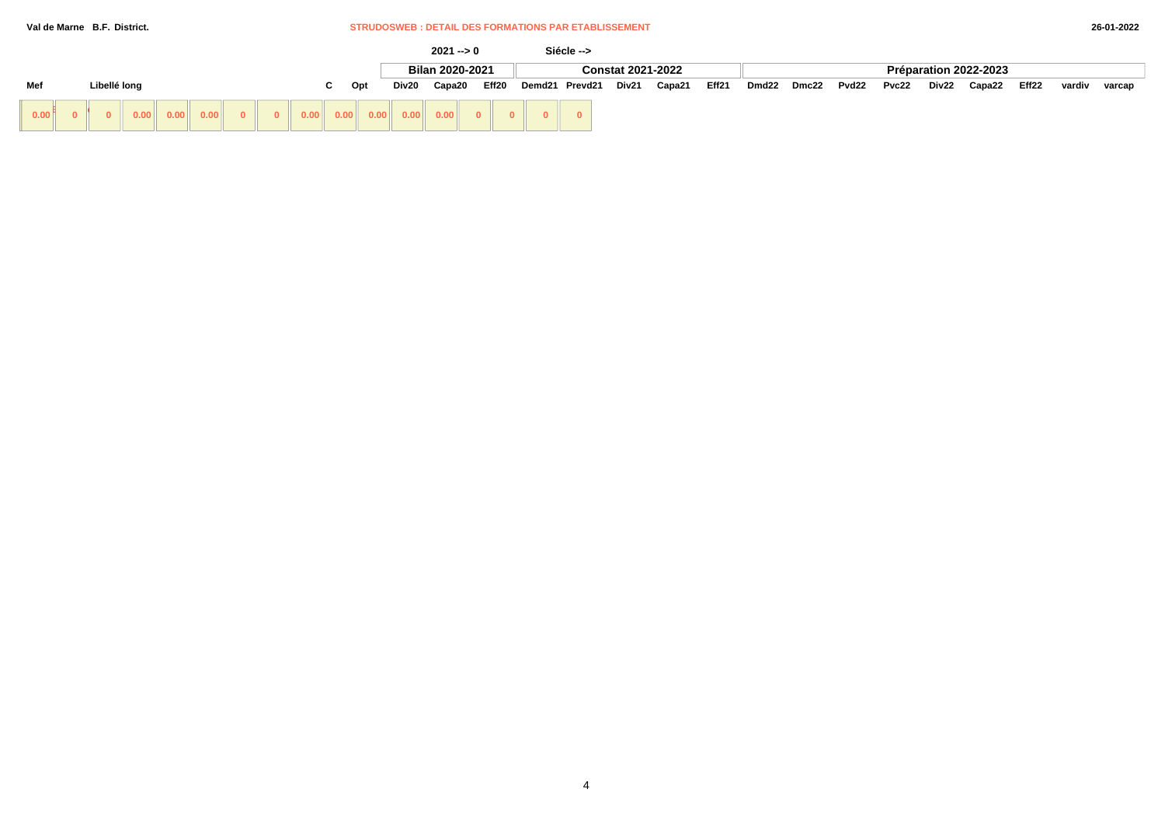### **Val de Marne B.F. District.** STRUDOSWEB : DETAIL DES FORMATIONS PAR ETABLISSEMENT

|                   |              |              |      |                          |  |                         |      |    |     |       | $2021 - 0$                                                                                                                                                                                                                                                                                                                                                                                |       |        | Siécle --> |                          |        |       |       |       |       |       |       |                       |       |        |        |
|-------------------|--------------|--------------|------|--------------------------|--|-------------------------|------|----|-----|-------|-------------------------------------------------------------------------------------------------------------------------------------------------------------------------------------------------------------------------------------------------------------------------------------------------------------------------------------------------------------------------------------------|-------|--------|------------|--------------------------|--------|-------|-------|-------|-------|-------|-------|-----------------------|-------|--------|--------|
|                   |              |              |      |                          |  |                         |      |    |     |       | Bilan 2020-2021                                                                                                                                                                                                                                                                                                                                                                           |       |        |            | <b>Constat 2021-2022</b> |        |       |       |       |       |       |       | Préparation 2022-2023 |       |        |        |
| Mef               |              | Libellé long |      |                          |  |                         |      | C. | Opt | Div20 | Capa20                                                                                                                                                                                                                                                                                                                                                                                    | Eff20 | Demd21 | Prevd21    | Div21                    | Capa21 | Eff21 | Dmd22 | Dmc22 | Pvd22 | Pvc22 | Div22 | Capa22                | Eff22 | vardiv | varcap |
| 0.00 <sup>8</sup> | $\mathbf{0}$ |              | 0.00 | $\vert 0.00 \vert \vert$ |  | $\overline{\mathbf{0}}$ | 0.00 |    |     |       | $\begin{array}{ c c c c c c c c } \hline \multicolumn{1}{ c }{0.00} & \multicolumn{1}{ c }{0.00} & \multicolumn{1}{ c }{0.00} & \multicolumn{1}{ c }{0.00} & \multicolumn{1}{ c }{0.00} & \multicolumn{1}{ c }{0.00} & \multicolumn{1}{ c }{0.00} & \multicolumn{1}{ c }{0.00} & \multicolumn{1}{ c }{0.00} & \multicolumn{1}{ c }{0.00} & \multicolumn{1}{ c }{0.00} & \multicolumn{1}{$ |       |        |            |                          |        |       |       |       |       |       |       |                       |       |        |        |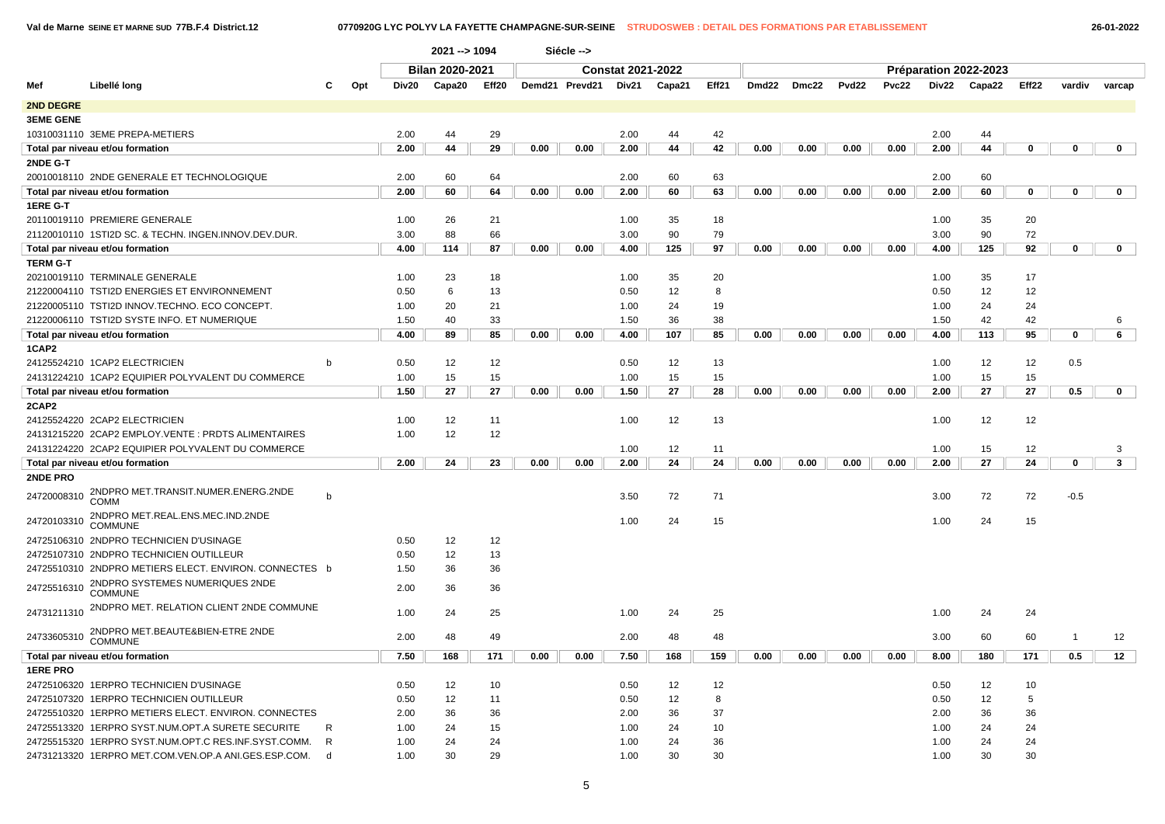**Val de Marne SEINE ET MARNE SUD 77B.F.4 District.12 0770920G LYC POLYV LA FAYETTE CHAMPAGNE-SUR-SEINE STRUDOSWEB : DETAIL DES FORMATIONS PAR ETABLISSEMENT 26-01-2022**

|                  |                                                        |              |     |       | 2021 -- > 1094         |       |      | Siécle -->     |                          |        |       |       |       |       |       |       |                       |       |              |              |  |
|------------------|--------------------------------------------------------|--------------|-----|-------|------------------------|-------|------|----------------|--------------------------|--------|-------|-------|-------|-------|-------|-------|-----------------------|-------|--------------|--------------|--|
|                  |                                                        |              |     |       | <b>Bilan 2020-2021</b> |       |      |                | <b>Constat 2021-2022</b> |        |       |       |       |       |       |       | Préparation 2022-2023 |       |              |              |  |
| Mef              | Libellé long                                           | с            | Opt | Div20 | Capa20                 | Eff20 |      | Demd21 Prevd21 | Div21                    | Capa21 | Eff21 | Dmd22 | Dmc22 | Pvd22 | Pvc22 | Div22 | Capa22                | Eff22 | vardiv       | varcap       |  |
| <b>2ND DEGRE</b> |                                                        |              |     |       |                        |       |      |                |                          |        |       |       |       |       |       |       |                       |       |              |              |  |
| <b>3EME GENE</b> |                                                        |              |     |       |                        |       |      |                |                          |        |       |       |       |       |       |       |                       |       |              |              |  |
|                  | 10310031110 3EME PREPA-METIERS                         |              |     | 2.00  | 44                     | 29    |      |                | 2.00                     | 44     | 42    |       |       |       |       | 2.00  | 44                    |       |              |              |  |
|                  | Total par niveau et/ou formation                       |              |     | 2.00  | 44                     | 29    | 0.00 | 0.00           | 2.00                     | 44     | 42    | 0.00  | 0.00  | 0.00  | 0.00  | 2.00  | 44                    | 0     | 0            | 0            |  |
| 2NDE G-T         |                                                        |              |     |       |                        |       |      |                |                          |        |       |       |       |       |       |       |                       |       |              |              |  |
|                  | 20010018110 2NDE GENERALE ET TECHNOLOGIQUE             |              |     | 2.00  | 60                     | 64    |      |                | 2.00                     | 60     | 63    |       |       |       |       | 2.00  | 60                    |       |              |              |  |
|                  | Total par niveau et/ou formation                       |              |     | 2.00  | 60                     | 64    | 0.00 | 0.00           | 2.00                     | 60     | 63    | 0.00  | 0.00  | 0.00  | 0.00  | 2.00  | 60                    | 0     | 0            | 0            |  |
| 1ERE G-T         |                                                        |              |     |       |                        |       |      |                |                          |        |       |       |       |       |       |       |                       |       |              |              |  |
|                  | 20110019110 PREMIERE GENERALE                          |              |     | 1.00  | 26                     | 21    |      |                | 1.00                     | 35     | 18    |       |       |       |       | 1.00  | 35                    | 20    |              |              |  |
|                  | 21120010110 1STI2D SC. & TECHN. INGEN.INNOV.DEV.DUR.   |              |     | 3.00  | 88                     | 66    |      |                | 3.00                     | 90     | 79    |       |       |       |       | 3.00  | 90                    | 72    |              |              |  |
|                  | Total par niveau et/ou formation                       |              |     | 4.00  | 114                    | 87    | 0.00 | 0.00           | 4.00                     | 125    | 97    | 0.00  | 0.00  | 0.00  | 0.00  | 4.00  | 125                   | 92    | 0            | 0            |  |
| <b>TERM G-T</b>  |                                                        |              |     |       |                        |       |      |                |                          |        |       |       |       |       |       |       |                       |       |              |              |  |
|                  | 20210019110 TERMINALE GENERALE                         |              |     | 1.00  | 23                     | 18    |      |                | 1.00                     | 35     | 20    |       |       |       |       | 1.00  | 35                    | 17    |              |              |  |
|                  | 21220004110 TSTI2D ENERGIES ET ENVIRONNEMENT           |              |     | 0.50  | 6                      | 13    |      |                | 0.50                     | 12     | 8     |       |       |       |       | 0.50  | 12                    | 12    |              |              |  |
|                  | 21220005110 TSTI2D INNOV.TECHNO. ECO CONCEPT.          |              |     | 1.00  | 20                     | 21    |      |                | 1.00                     | 24     | 19    |       |       |       |       | 1.00  | 24                    | 24    |              |              |  |
|                  | 21220006110 TSTI2D SYSTE INFO. ET NUMERIQUE            |              |     | 1.50  | 40                     | 33    |      |                | 1.50                     | 36     | 38    |       |       |       |       | 1.50  | 42                    | 42    |              | 6            |  |
|                  | Total par niveau et/ou formation                       |              |     | 4.00  | 89                     | 85    | 0.00 | 0.00           | 4.00                     | 107    | 85    | 0.00  | 0.00  | 0.00  | 0.00  | 4.00  | 113                   | 95    | $\mathbf 0$  | 6            |  |
| 1CAP2            |                                                        |              |     |       |                        |       |      |                |                          |        |       |       |       |       |       |       |                       |       |              |              |  |
|                  | 24125524210 1CAP2 ELECTRICIEN                          | b            |     | 0.50  | 12                     | 12    |      |                | 0.50                     | 12     | 13    |       |       |       |       | 1.00  | 12                    | 12    | 0.5          |              |  |
|                  | 24131224210 1CAP2 EQUIPIER POLYVALENT DU COMMERCE      |              |     | 1.00  | 15                     | 15    |      |                | 1.00                     | 15     | 15    |       |       |       |       | 1.00  | 15                    | 15    |              |              |  |
|                  | Total par niveau et/ou formation                       |              |     | 1.50  | 27                     | 27    | 0.00 | 0.00           | 1.50                     | 27     | 28    | 0.00  | 0.00  | 0.00  | 0.00  | 2.00  | 27                    | 27    | 0.5          | $\mathbf{0}$ |  |
| 2CAP2            |                                                        |              |     |       |                        |       |      |                |                          |        |       |       |       |       |       |       |                       |       |              |              |  |
|                  | 24125524220 2CAP2 ELECTRICIEN                          |              |     | 1.00  | 12                     | 11    |      |                | 1.00                     | 12     | 13    |       |       |       |       | 1.00  | 12                    | 12    |              |              |  |
|                  | 24131215220 2CAP2 EMPLOY.VENTE: PRDTS ALIMENTAIRES     |              |     | 1.00  | 12                     | 12    |      |                |                          |        |       |       |       |       |       |       |                       |       |              |              |  |
|                  | 24131224220 2CAP2 EQUIPIER POLYVALENT DU COMMERCE      |              |     |       |                        |       |      |                | 1.00                     | 12     | 11    |       |       |       |       | 1.00  | 15                    | 12    |              | 3            |  |
|                  | Total par niveau et/ou formation                       |              |     | 2.00  | 24                     | 23    | 0.00 | 0.00           | 2.00                     | 24     | 24    | 0.00  | 0.00  | 0.00  | 0.00  | 2.00  | 27                    | 24    | $\mathbf 0$  | $\mathbf{3}$ |  |
| 2NDE PRO         |                                                        |              |     |       |                        |       |      |                |                          |        |       |       |       |       |       |       |                       |       |              |              |  |
| 24720008310      | 2NDPRO MET.TRANSIT.NUMER.ENERG.2NDE<br>COMM            | $\mathsf{b}$ |     |       |                        |       |      |                | 3.50                     | 72     | 71    |       |       |       |       | 3.00  | 72                    | 72    | $-0.5$       |              |  |
| 24720103310      | 2NDPRO MET.REAL.ENS.MEC.IND.2NDE<br><b>COMMUNE</b>     |              |     |       |                        |       |      |                | 1.00                     | 24     | 15    |       |       |       |       | 1.00  | 24                    | 15    |              |              |  |
|                  | 24725106310 2NDPRO TECHNICIEN D'USINAGE                |              |     | 0.50  | 12                     | 12    |      |                |                          |        |       |       |       |       |       |       |                       |       |              |              |  |
|                  | 24725107310 2NDPRO TECHNICIEN OUTILLEUR                |              |     | 0.50  | 12                     | 13    |      |                |                          |        |       |       |       |       |       |       |                       |       |              |              |  |
|                  | 24725510310 2NDPRO METIERS ELECT. ENVIRON. CONNECTES b |              |     | 1.50  | 36                     | 36    |      |                |                          |        |       |       |       |       |       |       |                       |       |              |              |  |
| 24725516310      | 2NDPRO SYSTEMES NUMERIQUES 2NDE<br><b>COMMUNE</b>      |              |     | 2.00  | 36                     | 36    |      |                |                          |        |       |       |       |       |       |       |                       |       |              |              |  |
| 24731211310      | 2NDPRO MET. RELATION CLIENT 2NDE COMMUNE               |              |     | 1.00  | 24                     | 25    |      |                | 1.00                     | 24     | 25    |       |       |       |       | 1.00  | 24                    | 24    |              |              |  |
| 24733605310      | 2NDPRO MET.BEAUTE&BIEN-ETRE 2NDE<br><b>COMMUNE</b>     |              |     | 2.00  | 48                     | 49    |      |                | 2.00                     | 48     | 48    |       |       |       |       | 3.00  | 60                    | 60    | $\mathbf{1}$ | 12           |  |
|                  | Total par niveau et/ou formation                       |              |     | 7.50  | 168                    | 171   | 0.00 | 0.00           | 7.50                     | 168    | 159   | 0.00  | 0.00  | 0.00  | 0.00  | 8.00  | 180                   | 171   | 0.5          | 12           |  |
| <b>1ERE PRO</b>  |                                                        |              |     |       |                        |       |      |                |                          |        |       |       |       |       |       |       |                       |       |              |              |  |
|                  | 24725106320 1ERPRO TECHNICIEN D'USINAGE                |              |     | 0.50  | 12                     | 10    |      |                | 0.50                     | 12     | 12    |       |       |       |       | 0.50  | 12                    | 10    |              |              |  |
|                  | 24725107320 1ERPRO TECHNICIEN OUTILLEUR                |              |     | 0.50  | 12                     | 11    |      |                | 0.50                     | 12     | 8     |       |       |       |       | 0.50  | 12                    | 5     |              |              |  |
|                  | 24725510320 1ERPRO METIERS ELECT. ENVIRON. CONNECTES   |              |     | 2.00  | 36                     | 36    |      |                | 2.00                     | 36     | 37    |       |       |       |       | 2.00  | 36                    | 36    |              |              |  |
|                  | 24725513320 1ERPRO SYST.NUM.OPT.A SURETE SECURITE      | R            |     | 1.00  | 24                     | 15    |      |                | 1.00                     | 24     | 10    |       |       |       |       | 1.00  | 24                    | 24    |              |              |  |
|                  | 24725515320 1ERPRO SYST.NUM.OPT.C RES.INF.SYST.COMM.   | R            |     | 1.00  | 24                     | 24    |      |                | 1.00                     | 24     | 36    |       |       |       |       | 1.00  | 24                    | 24    |              |              |  |
|                  | 24731213320 1ERPRO MET.COM.VEN.OP.A ANI.GES.ESP.COM.   | d            |     | 1.00  | 30                     | 29    |      |                | 1.00                     | 30     | 30    |       |       |       |       | 1.00  | 30                    | 30    |              |              |  |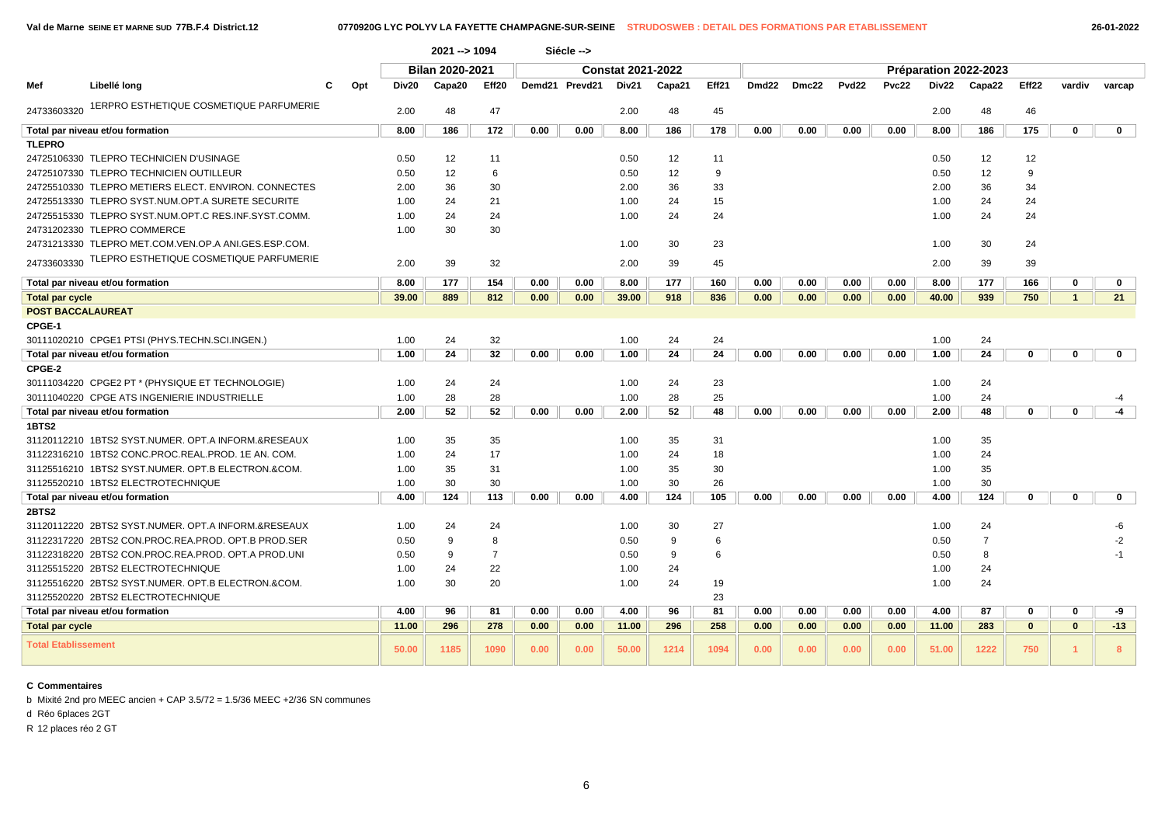|                            |                                                      |       | 2021 -- > 1094  |                |      | Siécle -->     |                          |        |       |                   |       |                   |       |       |                       |                   |              |             |
|----------------------------|------------------------------------------------------|-------|-----------------|----------------|------|----------------|--------------------------|--------|-------|-------------------|-------|-------------------|-------|-------|-----------------------|-------------------|--------------|-------------|
|                            |                                                      |       | Bilan 2020-2021 |                |      |                | <b>Constat 2021-2022</b> |        |       |                   |       |                   |       |       | Préparation 2022-2023 |                   |              |             |
| Mef                        | Libellé long<br>Opt<br>С                             | Div20 | Capa20          | Eff20          |      | Demd21 Prevd21 | Div21                    | Capa21 | Eff21 | Dmd <sub>22</sub> | Dmc22 | Pvd <sub>22</sub> | Pvc22 | Div22 | Capa22                | Eff <sub>22</sub> | vardiv       | varcap      |
| 24733603320                | 1ERPRO ESTHETIQUE COSMETIQUE PARFUMERIE              | 2.00  | 48              | 47             |      |                | 2.00                     | 48     | 45    |                   |       |                   |       | 2.00  | 48                    | 46                |              |             |
|                            | Total par niveau et/ou formation                     | 8.00  | 186             | 172            | 0.00 | 0.00           | 8.00                     | 186    | 178   | 0.00              | 0.00  | 0.00              | 0.00  | 8.00  | 186                   | 175               | 0            | 0           |
| <b>TLEPRO</b>              |                                                      |       |                 |                |      |                |                          |        |       |                   |       |                   |       |       |                       |                   |              |             |
|                            | 24725106330 TLEPRO TECHNICIEN D'USINAGE              | 0.50  | 12              | 11             |      |                | 0.50                     | 12     | 11    |                   |       |                   |       | 0.50  | 12                    | 12                |              |             |
|                            | 24725107330 TLEPRO TECHNICIEN OUTILLEUR              | 0.50  | 12              | 6              |      |                | 0.50                     | 12     | 9     |                   |       |                   |       | 0.50  | 12                    | 9                 |              |             |
|                            | 24725510330 TLEPRO METIERS ELECT. ENVIRON, CONNECTES | 2.00  | 36              | 30             |      |                | 2.00                     | 36     | 33    |                   |       |                   |       | 2.00  | 36                    | 34                |              |             |
|                            | 24725513330 TLEPRO SYST.NUM.OPT.A SURETE SECURITE    | 1.00  | 24              | 21             |      |                | 1.00                     | 24     | 15    |                   |       |                   |       | 1.00  | 24                    | 24                |              |             |
|                            | 24725515330 TLEPRO SYST.NUM.OPT.C RES.INF.SYST.COMM  | 1.00  | 24              | 24             |      |                | 1.00                     | 24     | 24    |                   |       |                   |       | 1.00  | 24                    | 24                |              |             |
|                            | 24731202330 TLEPRO COMMERCE                          | 1.00  | 30              | 30             |      |                |                          |        |       |                   |       |                   |       |       |                       |                   |              |             |
|                            | 24731213330 TLEPRO MET.COM.VEN.OP.A ANI.GES.ESP.COM. |       |                 |                |      |                | 1.00                     | 30     | 23    |                   |       |                   |       | 1.00  | 30                    | 24                |              |             |
|                            | 24733603330 TLEPRO ESTHETIQUE COSMETIQUE PARFUMERIE  | 2.00  | 39              | 32             |      |                | 2.00                     | 39     | 45    |                   |       |                   |       | 2.00  | 39                    | 39                |              |             |
|                            | Total par niveau et/ou formation                     | 8.00  | 177             | 154            | 0.00 | 0.00           | 8.00                     | 177    | 160   | 0.00              | 0.00  | 0.00              | 0.00  | 8.00  | 177                   | 166               | 0            | $\mathbf 0$ |
| <b>Total par cycle</b>     |                                                      | 39.00 | 889             | 812            | 0.00 | 0.00           | 39.00                    | 918    | 836   | 0.00              | 0.00  | 0.00              | 0.00  | 40.00 | 939                   | 750               | $\mathbf{1}$ | 21          |
| <b>POST BACCALAUREAT</b>   |                                                      |       |                 |                |      |                |                          |        |       |                   |       |                   |       |       |                       |                   |              |             |
| CPGE-1                     |                                                      |       |                 |                |      |                |                          |        |       |                   |       |                   |       |       |                       |                   |              |             |
|                            | 30111020210 CPGE1 PTSI (PHYS.TECHN.SCI.INGEN.)       | 1.00  | 24              | 32             |      |                | 1.00                     | 24     | 24    |                   |       |                   |       | 1.00  | 24                    |                   |              |             |
|                            | Total par niveau et/ou formation                     | 1.00  | 24              | 32             | 0.00 | 0.00           | 1.00                     | 24     | 24    | 0.00              | 0.00  | 0.00              | 0.00  | 1.00  | 24                    | 0                 | 0            | 0           |
| CPGE-2                     |                                                      |       |                 |                |      |                |                          |        |       |                   |       |                   |       |       |                       |                   |              |             |
|                            | 30111034220 CPGE2 PT * (PHYSIQUE ET TECHNOLOGIE)     | 1.00  | 24              | 24             |      |                | 1.00                     | 24     | 23    |                   |       |                   |       | 1.00  | 24                    |                   |              |             |
|                            | 30111040220 CPGE ATS INGENIERIE INDUSTRIELLE         | 1.00  | 28              | 28             |      |                | 1.00                     | 28     | 25    |                   |       |                   |       | 1.00  | 24                    |                   |              | -4          |
|                            | Total par niveau et/ou formation                     | 2.00  | 52              | 52             | 0.00 | 0.00           | 2.00                     | 52     | 48    | 0.00              | 0.00  | 0.00              | 0.00  | 2.00  | 48                    | $\Omega$          | $\Omega$     | $-4$        |
| 1BTS2                      |                                                      |       |                 |                |      |                |                          |        |       |                   |       |                   |       |       |                       |                   |              |             |
|                            | 31120112210 1BTS2 SYST.NUMER, OPT.A INFORM.&RESEAUX  | 1.00  | 35              | 35             |      |                | 1.00                     | 35     | 31    |                   |       |                   |       | 1.00  | 35                    |                   |              |             |
|                            | 31122316210 1BTS2 CONC.PROC.REAL.PROD. 1E AN. COM.   | 1.00  | 24              | 17             |      |                | 1.00                     | 24     | 18    |                   |       |                   |       | 1.00  | 24                    |                   |              |             |
|                            | 31125516210 1BTS2 SYST.NUMER. OPT.B ELECTRON.&COM.   | 1.00  | 35              | 31             |      |                | 1.00                     | 35     | 30    |                   |       |                   |       | 1.00  | 35                    |                   |              |             |
|                            | 31125520210 1BTS2 ELECTROTECHNIQUE                   | 1.00  | 30              | 30             |      |                | 1.00                     | 30     | 26    |                   |       |                   |       | 1.00  | 30                    |                   |              |             |
|                            | Total par niveau et/ou formation                     | 4.00  | 124             | 113            | 0.00 | 0.00           | 4.00                     | 124    | 105   | 0.00              | 0.00  | 0.00              | 0.00  | 4.00  | 124                   | 0                 | $\Omega$     | 0           |
| <b>2BTS2</b>               |                                                      |       |                 |                |      |                |                          |        |       |                   |       |                   |       |       |                       |                   |              |             |
|                            | 31120112220 2BTS2 SYST.NUMER. OPT.A INFORM.&RESEAUX  | 1.00  | 24              | 24             |      |                | 1.00                     | 30     | 27    |                   |       |                   |       | 1.00  | 24                    |                   |              | -6          |
|                            | 31122317220 2BTS2 CON.PROC.REA.PROD. OPT.B PROD.SER  | 0.50  | 9               | 8              |      |                | 0.50                     | 9      | 6     |                   |       |                   |       | 0.50  | $\overline{7}$        |                   |              | $-2$        |
|                            | 31122318220 2BTS2 CON.PROC.REA.PROD. OPT.A PROD.UNI  | 0.50  | 9               | $\overline{7}$ |      |                | 0.50                     | 9      | 6     |                   |       |                   |       | 0.50  | 8                     |                   |              | $-1$        |
|                            | 31125515220 2BTS2 ELECTROTECHNIQUE                   | 1.00  | 24              | 22             |      |                | 1.00                     | 24     |       |                   |       |                   |       | 1.00  | 24                    |                   |              |             |
|                            | 31125516220 2BTS2 SYST.NUMER. OPT.B ELECTRON.&COM.   | 1.00  | 30              | 20             |      |                | 1.00                     | 24     | 19    |                   |       |                   |       | 1.00  | 24                    |                   |              |             |
|                            | 31125520220 2BTS2 ELECTROTECHNIQUE                   |       |                 |                |      |                |                          |        | 23    |                   |       |                   |       |       |                       |                   |              |             |
|                            | Total par niveau et/ou formation                     | 4.00  | 96              | 81             | 0.00 | 0.00           | 4.00                     | 96     | 81    | 0.00              | 0.00  | 0.00              | 0.00  | 4.00  | 87                    | $\Omega$          | $\bf{0}$     | -9          |
| <b>Total par cycle</b>     |                                                      | 11.00 | 296             | 278            | 0.00 | 0.00           | 11.00                    | 296    | 258   | 0.00              | 0.00  | 0.00              | 0.00  | 11.00 | 283                   | $\bf{0}$          | $\bf{0}$     | $-13$       |
| <b>Total Etablissement</b> |                                                      | 50.00 | 1185            | 1090           | 0.00 | 0.00           | 50.00                    | 1214   | 1094  | 0.00              | 0.00  | 0.00              | 0.00  | 51.00 | 1222                  | 750               | 1            | 8           |

## **C Commentaires**

b Mixité 2nd pro MEEC ancien + CAP 3.5/72 = 1.5/36 MEEC +2/36 SN communes

d Réo 6places 2GT

R 12 places réo 2 GT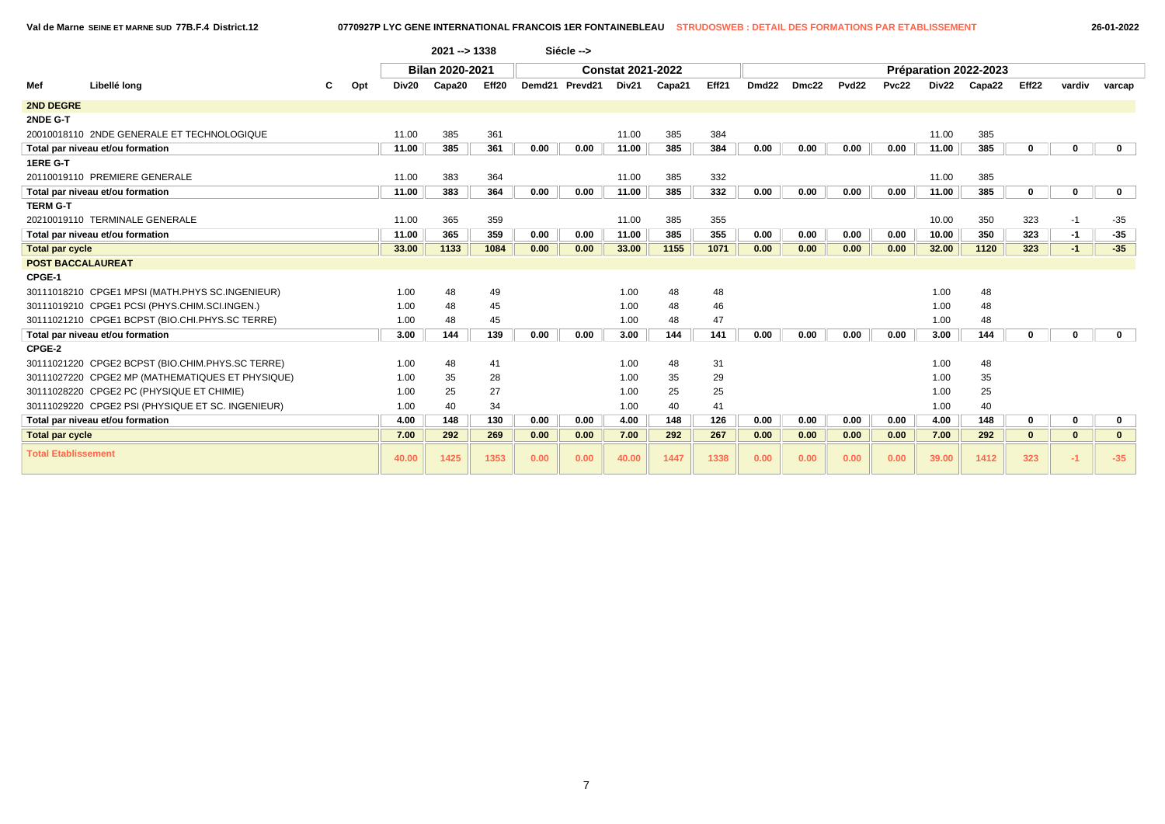**Val de Marne SEINE ET MARNE SUD 77B.F.4 District.12 0770927P LYC GENE INTERNATIONAL FRANCOIS 1ER FONTAINEBLEAU STRUDOSWEB : DETAIL DES FORMATIONS PAR ETABLISSEMENT 26-01-2022**

|                            |                                                   |       | 2021 -- > 1338  |       |      | Siécle -->     |                          |        |       |                   |       |       |       |       |                       |                   |              |              |
|----------------------------|---------------------------------------------------|-------|-----------------|-------|------|----------------|--------------------------|--------|-------|-------------------|-------|-------|-------|-------|-----------------------|-------------------|--------------|--------------|
|                            |                                                   |       | Bilan 2020-2021 |       |      |                | <b>Constat 2021-2022</b> |        |       |                   |       |       |       |       | Préparation 2022-2023 |                   |              |              |
| Mef                        | Libellé long<br>Opt                               | Div20 | Capa20          | Eff20 |      | Demd21 Prevd21 | Div21                    | Capa21 | Eff21 | Dmd <sub>22</sub> | Dmc22 | Pvd22 | Pvc22 | Div22 | Capa22                | Eff <sub>22</sub> | vardiv       | varcap       |
| <b>2ND DEGRE</b>           |                                                   |       |                 |       |      |                |                          |        |       |                   |       |       |       |       |                       |                   |              |              |
| 2NDE G-T                   |                                                   |       |                 |       |      |                |                          |        |       |                   |       |       |       |       |                       |                   |              |              |
|                            | 20010018110 2NDE GENERALE ET TECHNOLOGIQUE        | 11.00 | 385             | 361   |      |                | 11.00                    | 385    | 384   |                   |       |       |       | 11.00 | 385                   |                   |              |              |
|                            | Total par niveau et/ou formation                  | 11.00 | 385             | 361   | 0.00 | 0.00           | 11.00                    | 385    | 384   | 0.00              | 0.00  | 0.00  | 0.00  | 11.00 | 385                   | 0                 | 0            | $\mathbf 0$  |
| 1ERE G-T                   |                                                   |       |                 |       |      |                |                          |        |       |                   |       |       |       |       |                       |                   |              |              |
|                            | 20110019110 PREMIERE GENERALE                     | 11.00 | 383             | 364   |      |                | 11.00                    | 385    | 332   |                   |       |       |       | 11.00 | 385                   |                   |              |              |
|                            | Total par niveau et/ou formation                  | 11.00 | 383             | 364   | 0.00 | 0.00           | 11.00                    | 385    | 332   | 0.00              | 0.00  | 0.00  | 0.00  | 11.00 | 385                   | 0                 | 0            | $\mathbf 0$  |
| <b>TERM G-T</b>            |                                                   |       |                 |       |      |                |                          |        |       |                   |       |       |       |       |                       |                   |              |              |
|                            | 20210019110 TERMINALE GENERALE                    | 11.00 | 365             | 359   |      |                | 11.00                    | 385    | 355   |                   |       |       |       | 10.00 | 350                   | 323               | $-1$         | $-35$        |
|                            | Total par niveau et/ou formation                  | 11.00 | 365             | 359   | 0.00 | 0.00           | 11.00                    | 385    | 355   | 0.00              | 0.00  | 0.00  | 0.00  | 10.00 | 350                   | 323               | $-1$         | $-35$        |
| <b>Total par cycle</b>     |                                                   | 33.00 | 1133            | 1084  | 0.00 | 0.00           | 33.00                    | 1155   | 1071  | 0.00              | 0.00  | 0.00  | 0.00  | 32.00 | 1120                  | 323               | $-1$         | $-35$        |
| <b>POST BACCALAUREAT</b>   |                                                   |       |                 |       |      |                |                          |        |       |                   |       |       |       |       |                       |                   |              |              |
| CPGE-1                     |                                                   |       |                 |       |      |                |                          |        |       |                   |       |       |       |       |                       |                   |              |              |
|                            | 30111018210 CPGE1 MPSI (MATH.PHYS SC.INGENIEUR)   | 1.00  | 48              | 49    |      |                | 1.00                     | 48     | 48    |                   |       |       |       | 1.00  | 48                    |                   |              |              |
|                            | 30111019210 CPGE1 PCSI (PHYS.CHIM.SCI.INGEN.)     | 1.00  | 48              | 45    |      |                | 1.00                     | 48     | 46    |                   |       |       |       | 1.00  | 48                    |                   |              |              |
|                            | 30111021210 CPGE1 BCPST (BIO.CHI.PHYS.SC TERRE)   | 1.00  | 48              | 45    |      |                | 1.00                     | 48     | 47    |                   |       |       |       | 1.00  | 48                    |                   |              |              |
|                            | Total par niveau et/ou formation                  | 3.00  | 144             | 139   | 0.00 | 0.00           | 3.00                     | 144    | 141   | 0.00              | 0.00  | 0.00  | 0.00  | 3.00  | 144                   | $\Omega$          | U            | $\mathbf{0}$ |
| CPGE-2                     |                                                   |       |                 |       |      |                |                          |        |       |                   |       |       |       |       |                       |                   |              |              |
|                            | 30111021220 CPGE2 BCPST (BIO.CHIM.PHYS.SC TERRE)  | 1.00  | 48              | 41    |      |                | 1.00                     | 48     | 31    |                   |       |       |       | 1.00  | 48                    |                   |              |              |
|                            | 30111027220 CPGE2 MP (MATHEMATIQUES ET PHYSIQUE)  | 1.00  | 35              | 28    |      |                | 1.00                     | 35     | 29    |                   |       |       |       | 1.00  | 35                    |                   |              |              |
|                            | 30111028220 CPGE2 PC (PHYSIQUE ET CHIMIE)         | 1.00  | 25              | 27    |      |                | 1.00                     | 25     | 25    |                   |       |       |       | 1.00  | 25                    |                   |              |              |
|                            | 30111029220 CPGE2 PSI (PHYSIQUE ET SC. INGENIEUR) | 1.00  | 40              | 34    |      |                | 1.00                     | 40     | 41    |                   |       |       |       | 1.00  | 40                    |                   |              |              |
|                            | Total par niveau et/ou formation                  | 4.00  | 148             | 130   | 0.00 | 0.00           | 4.00                     | 148    | 126   | 0.00              | 0.00  | 0.00  | 0.00  | 4.00  | 148                   | 0                 | 0            | $\mathbf 0$  |
| <b>Total par cycle</b>     |                                                   | 7.00  | 292             | 269   | 0.00 | 0.00           | 7.00                     | 292    | 267   | 0.00              | 0.00  | 0.00  | 0.00  | 7.00  | 292                   | $\bf{0}$          | $\mathbf{0}$ | $\mathbf{0}$ |
| <b>Total Etablissement</b> |                                                   | 40.00 | 1425            | 1353  | 0.00 | 0.00           | 40.00                    | 1447   | 1338  | 0.00              | 0.00  | 0.00  | 0.00  | 39.00 | 1412                  | 323               | $-1$         | $-35$        |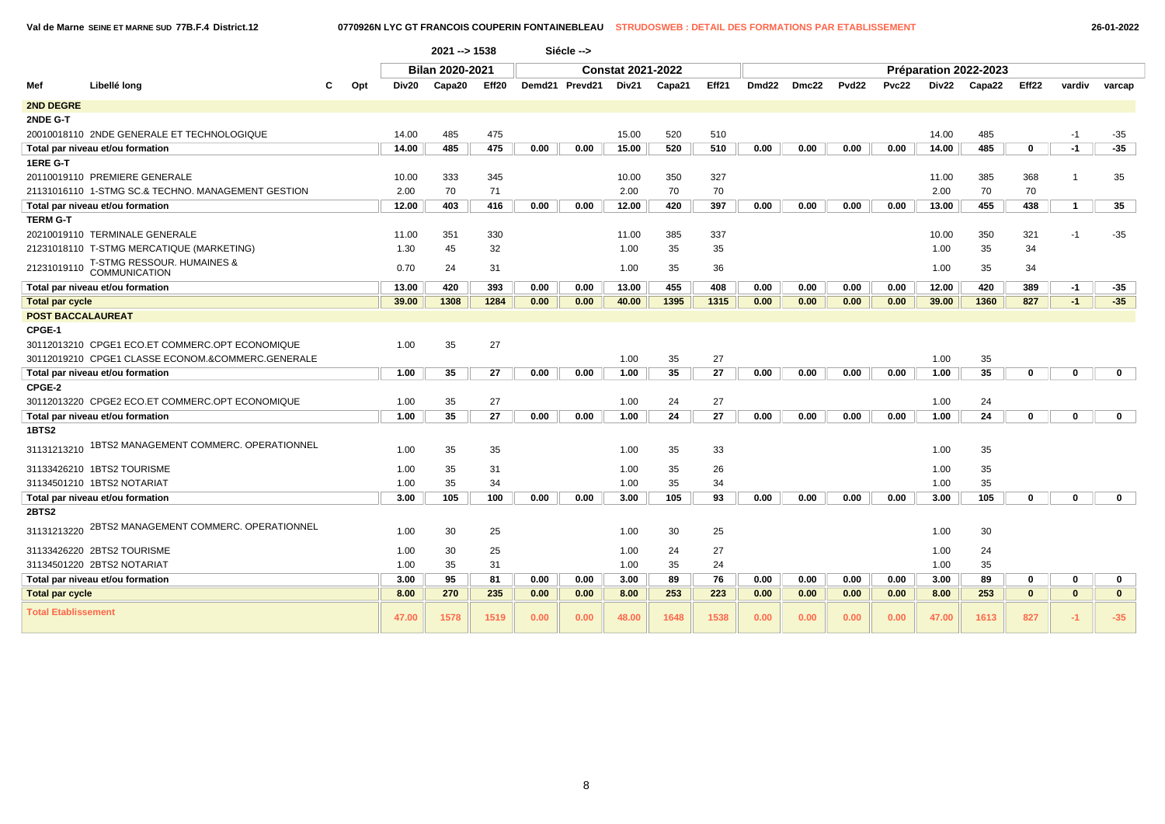| 26-01-202 |  |  |  |
|-----------|--|--|--|
|-----------|--|--|--|

|                            |                                                    |          |       | 2021 -- > 1538         |       |      | Siécle -->     |                          |        |       |       |       |                   |       |       |                       |                   |                |              |
|----------------------------|----------------------------------------------------|----------|-------|------------------------|-------|------|----------------|--------------------------|--------|-------|-------|-------|-------------------|-------|-------|-----------------------|-------------------|----------------|--------------|
|                            |                                                    |          |       | <b>Bilan 2020-2021</b> |       |      |                | <b>Constat 2021-2022</b> |        |       |       |       |                   |       |       | Préparation 2022-2023 |                   |                |              |
| Mef                        | Libellé long                                       | Opt<br>С | Div20 | Capa20                 | Eff20 |      | Demd21 Prevd21 | Div21                    | Capa21 | Eff21 | Dmd22 | Dmc22 | Pvd <sub>22</sub> | Pvc22 | Div22 | Capa22                | Eff <sub>22</sub> | vardiv         | varcap       |
| <b>2ND DEGRE</b>           |                                                    |          |       |                        |       |      |                |                          |        |       |       |       |                   |       |       |                       |                   |                |              |
| 2NDE G-T                   |                                                    |          |       |                        |       |      |                |                          |        |       |       |       |                   |       |       |                       |                   |                |              |
|                            | 20010018110 2NDE GENERALE ET TECHNOLOGIQUE         |          | 14.00 | 485                    | 475   |      |                | 15.00                    | 520    | 510   |       |       |                   |       | 14.00 | 485                   |                   | $-1$           | $-35$        |
|                            | Total par niveau et/ou formation                   |          | 14.00 | 485                    | 475   | 0.00 | 0.00           | 15.00                    | 520    | 510   | 0.00  | 0.00  | 0.00              | 0.00  | 14.00 | 485                   | 0                 | $-1$           | $-35$        |
| 1ERE G-T                   |                                                    |          |       |                        |       |      |                |                          |        |       |       |       |                   |       |       |                       |                   |                |              |
|                            | 20110019110 PREMIERE GENERALE                      |          | 10.00 | 333                    | 345   |      |                | 10.00                    | 350    | 327   |       |       |                   |       | 11.00 | 385                   | 368               | -1             | 35           |
|                            | 21131016110 1-STMG SC.& TECHNO. MANAGEMENT GESTION |          | 2.00  | 70                     | 71    |      |                | 2.00                     | 70     | 70    |       |       |                   |       | 2.00  | 70                    | 70                |                |              |
|                            | Total par niveau et/ou formation                   |          | 12.00 | 403                    | 416   | 0.00 | 0.00           | 12.00                    | 420    | 397   | 0.00  | 0.00  | 0.00              | 0.00  | 13.00 | 455                   | 438               | $\overline{1}$ | 35           |
| <b>TERM G-T</b>            |                                                    |          |       |                        |       |      |                |                          |        |       |       |       |                   |       |       |                       |                   |                |              |
|                            | 20210019110 TERMINALE GENERALE                     |          | 11.00 | 351                    | 330   |      |                | 11.00                    | 385    | 337   |       |       |                   |       | 10.00 | 350                   | 321               | $-1$           | $-35$        |
|                            | 21231018110 T-STMG MERCATIQUE (MARKETING)          |          | 1.30  | 45                     | 32    |      |                | 1.00                     | 35     | 35    |       |       |                   |       | 1.00  | 35                    | 34                |                |              |
| 21231019110                | T-STMG RESSOUR. HUMAINES & COMMUNICATION           |          | 0.70  | 24                     | 31    |      |                | 1.00                     | 35     | 36    |       |       |                   |       | 1.00  | 35                    | 34                |                |              |
|                            | Total par niveau et/ou formation                   |          | 13.00 | 420                    | 393   | 0.00 | 0.00           | 13.00                    | 455    | 408   | 0.00  | 0.00  | 0.00              | 0.00  | 12.00 | 420                   | 389               | $-1$           | $-35$        |
| <b>Total par cycle</b>     |                                                    |          | 39.00 | 1308                   | 1284  | 0.00 | 0.00           | 40.00                    | 1395   | 1315  | 0.00  | 0.00  | 0.00              | 0.00  | 39.00 | 1360                  | 827               | $-1$           | $-35$        |
| <b>POST BACCALAUREAT</b>   |                                                    |          |       |                        |       |      |                |                          |        |       |       |       |                   |       |       |                       |                   |                |              |
| CPGE-1                     |                                                    |          |       |                        |       |      |                |                          |        |       |       |       |                   |       |       |                       |                   |                |              |
|                            | 30112013210 CPGE1 ECO.ET COMMERC.OPT ECONOMIQUE    |          | 1.00  | 35                     | 27    |      |                |                          |        |       |       |       |                   |       |       |                       |                   |                |              |
|                            | 30112019210 CPGE1 CLASSE ECONOM.&COMMERC.GENERALE  |          |       |                        |       |      |                | 1.00                     | 35     | 27    |       |       |                   |       | 1.00  | 35                    |                   |                |              |
|                            | Total par niveau et/ou formation                   |          | 1.00  | 35                     | 27    | 0.00 | 0.00           | 1.00                     | 35     | 27    | 0.00  | 0.00  | 0.00              | 0.00  | 1.00  | 35                    | 0                 | $\mathbf 0$    | $\mathbf{0}$ |
| CPGE-2                     |                                                    |          |       |                        |       |      |                |                          |        |       |       |       |                   |       |       |                       |                   |                |              |
|                            | 30112013220 CPGE2 ECO.ET COMMERC.OPT ECONOMIQUE    |          | 1.00  | 35                     | 27    |      |                | 1.00                     | 24     | 27    |       |       |                   |       | 1.00  | 24                    |                   |                |              |
|                            | Total par niveau et/ou formation                   |          | 1.00  | 35                     | 27    | 0.00 | 0.00           | 1.00                     | 24     | 27    | 0.00  | 0.00  | 0.00              | 0.00  | 1.00  | 24                    | $\Omega$          | 0              | $\mathbf{0}$ |
| <b>1BTS2</b>               |                                                    |          |       |                        |       |      |                |                          |        |       |       |       |                   |       |       |                       |                   |                |              |
| 31131213210                | 1BTS2 MANAGEMENT COMMERC. OPERATIONNEL             |          | 1.00  | 35                     | 35    |      |                | 1.00                     | 35     | 33    |       |       |                   |       | 1.00  | 35                    |                   |                |              |
|                            | 31133426210 1BTS2 TOURISME                         |          | 1.00  | 35                     | 31    |      |                | 1.00                     | 35     | 26    |       |       |                   |       | 1.00  | 35                    |                   |                |              |
|                            | 31134501210 1BTS2 NOTARIAT                         |          | 1.00  | 35                     | 34    |      |                | 1.00                     | 35     | 34    |       |       |                   |       | 1.00  | 35                    |                   |                |              |
|                            | Total par niveau et/ou formation                   |          | 3.00  | 105                    | 100   | 0.00 | 0.00           | 3.00                     | 105    | 93    | 0.00  | 0.00  | 0.00              | 0.00  | 3.00  | 105                   | 0                 | 0              | $\mathbf{0}$ |
| 2BTS2                      |                                                    |          |       |                        |       |      |                |                          |        |       |       |       |                   |       |       |                       |                   |                |              |
| 31131213220                | 2BTS2 MANAGEMENT COMMERC. OPERATIONNEL             |          | 1.00  | 30                     | 25    |      |                | 1.00                     | 30     | 25    |       |       |                   |       | 1.00  | 30                    |                   |                |              |
|                            | 31133426220 2BTS2 TOURISME                         |          | 1.00  | 30                     | 25    |      |                | 1.00                     | 24     | 27    |       |       |                   |       | 1.00  | 24                    |                   |                |              |
|                            | 31134501220 2BTS2 NOTARIAT                         |          | 1.00  | 35                     | 31    |      |                | 1.00                     | 35     | 24    |       |       |                   |       | 1.00  | 35                    |                   |                |              |
|                            | Total par niveau et/ou formation                   |          | 3.00  | 95                     | 81    | 0.00 | 0.00           | 3.00                     | 89     | 76    | 0.00  | 0.00  | 0.00              | 0.00  | 3.00  | 89                    | 0                 | $\bf{0}$       | $\mathbf 0$  |
| <b>Total par cycle</b>     |                                                    |          | 8.00  | 270                    | 235   | 0.00 | 0.00           | 8.00                     | 253    | 223   | 0.00  | 0.00  | 0.00              | 0.00  | 8.00  | 253                   | $\mathbf{0}$      | $\bf{0}$       | $\mathbf{0}$ |
| <b>Total Etablissement</b> |                                                    |          | 47.00 | 1578                   | 1519  | 0.00 | 0.00           | 48.00                    | 1648   | 1538  | 0.00  | 0.00  | 0.00              | 0.00  | 47.00 | 1613                  | 827               | $-1$           | $-35$        |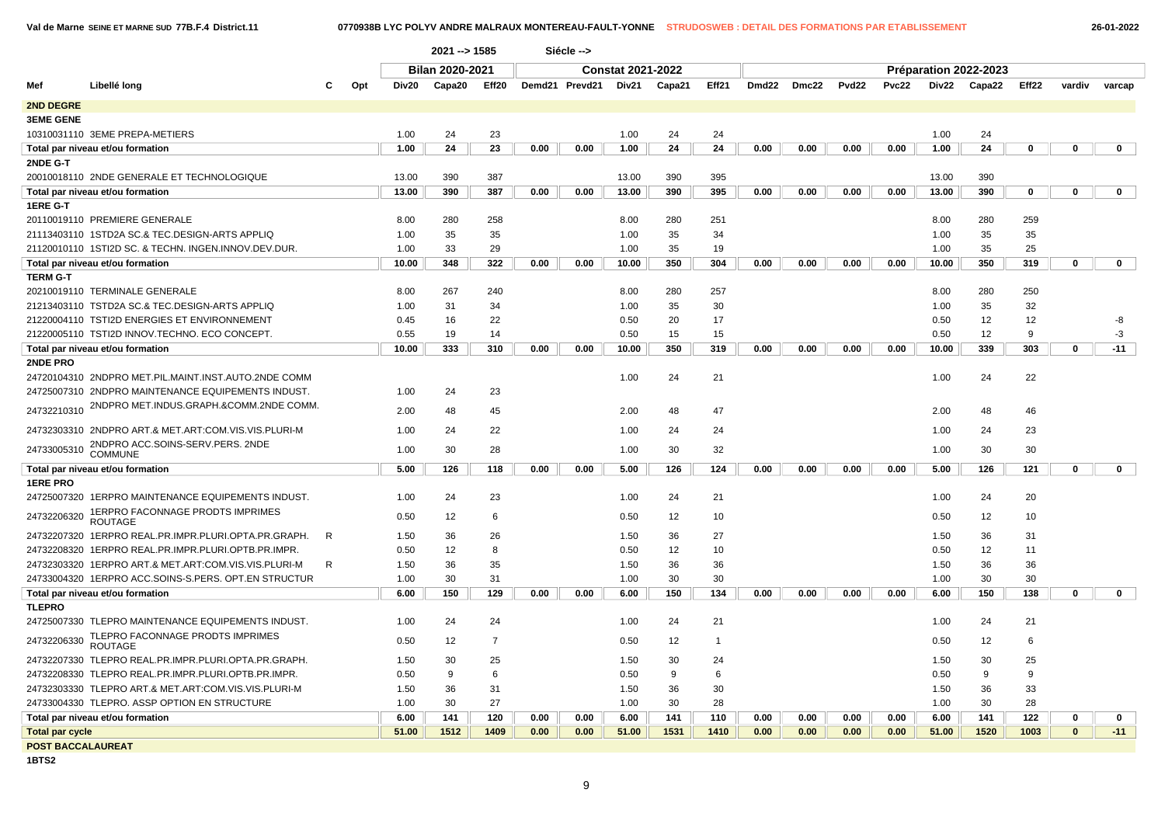|  |  | $26 - 01 - 2$ |
|--|--|---------------|
|  |  |               |

|                        |                                                      |           |       | 2021 -- > 1585         |                |      | Siécle -->     |                          |        |                |       |       |       |       |                       |        |       |              |             |
|------------------------|------------------------------------------------------|-----------|-------|------------------------|----------------|------|----------------|--------------------------|--------|----------------|-------|-------|-------|-------|-----------------------|--------|-------|--------------|-------------|
|                        |                                                      |           |       | <b>Bilan 2020-2021</b> |                |      |                | <b>Constat 2021-2022</b> |        |                |       |       |       |       | Préparation 2022-2023 |        |       |              |             |
| Mef                    | Libellé long                                         | Opt<br>C. | Div20 | Capa20                 | Eff20          |      | Demd21 Prevd21 | Div21                    | Capa21 | Eff21          | Dmd22 | Dmc22 | Pvd22 | Pvc22 | Div22                 | Capa22 | Eff22 | vardiv       | varcap      |
| 2ND DEGRE              |                                                      |           |       |                        |                |      |                |                          |        |                |       |       |       |       |                       |        |       |              |             |
| <b>3EME GENE</b>       |                                                      |           |       |                        |                |      |                |                          |        |                |       |       |       |       |                       |        |       |              |             |
|                        | 10310031110 3EME PREPA-METIERS                       |           | 1.00  | 24                     | 23             |      |                | 1.00                     | 24     | 24             |       |       |       |       | 1.00                  | 24     |       |              |             |
|                        | Total par niveau et/ou formation                     |           | 1.00  | 24                     | 23             | 0.00 | 0.00           | 1.00                     | 24     | 24             | 0.00  | 0.00  | 0.00  | 0.00  | 1.00                  | 24     | 0     | $\Omega$     | $\mathbf 0$ |
| 2NDE G-T               |                                                      |           |       |                        |                |      |                |                          |        |                |       |       |       |       |                       |        |       |              |             |
|                        | 20010018110 2NDE GENERALE ET TECHNOLOGIQUE           |           | 13.00 | 390                    | 387            |      |                | 13.00                    | 390    | 395            |       |       |       |       | 13.00                 | 390    |       |              |             |
|                        | Total par niveau et/ou formation                     |           | 13.00 | 390                    | 387            | 0.00 | 0.00           | 13.00                    | 390    | 395            | 0.00  | 0.00  | 0.00  | 0.00  | 13.00                 | 390    | 0     | $\mathbf{0}$ | $\mathbf 0$ |
| 1ERE G-T               |                                                      |           |       |                        |                |      |                |                          |        |                |       |       |       |       |                       |        |       |              |             |
|                        | 20110019110 PREMIERE GENERALE                        |           | 8.00  | 280                    | 258            |      |                | 8.00                     | 280    | 251            |       |       |       |       | 8.00                  | 280    | 259   |              |             |
|                        | 21113403110 1STD2A SC.& TEC.DESIGN-ARTS APPLIQ       |           | 1.00  | 35                     | 35             |      |                | 1.00                     | 35     | 34             |       |       |       |       | 1.00                  | 35     | 35    |              |             |
|                        | 21120010110 1STI2D SC. & TECHN. INGEN.INNOV.DEV.DUR. |           | 1.00  | 33                     | 29             |      |                | 1.00                     | 35     | 19             |       |       |       |       | 1.00                  | 35     | 25    |              |             |
|                        | Total par niveau et/ou formation                     |           | 10.00 | 348                    | 322            | 0.00 | 0.00           | 10.00                    | 350    | 304            | 0.00  | 0.00  | 0.00  | 0.00  | 10.00                 | 350    | 319   | 0            | 0           |
| <b>TERM G-T</b>        |                                                      |           |       |                        |                |      |                |                          |        |                |       |       |       |       |                       |        |       |              |             |
|                        | 20210019110 TERMINALE GENERALE                       |           | 8.00  | 267                    | 240            |      |                | 8.00                     | 280    | 257            |       |       |       |       | 8.00                  | 280    | 250   |              |             |
|                        | 21213403110 TSTD2A SC.& TEC.DESIGN-ARTS APPLIQ       |           | 1.00  | 31                     | 34             |      |                | 1.00                     | 35     | 30             |       |       |       |       | 1.00                  | 35     | 32    |              |             |
|                        | 21220004110 TSTI2D ENERGIES ET ENVIRONNEMENT         |           | 0.45  | 16                     | 22             |      |                | 0.50                     | 20     | 17             |       |       |       |       | 0.50                  | 12     | 12    |              | -8          |
|                        | 21220005110 TSTI2D INNOV.TECHNO. ECO CONCEPT.        |           | 0.55  | 19                     | 14             |      |                | 0.50                     | 15     | 15             |       |       |       |       | 0.50                  | 12     | 9     |              | -3          |
|                        | Total par niveau et/ou formation                     |           | 10.00 | 333                    | 310            | 0.00 | 0.00           | 10.00                    | 350    | 319            | 0.00  | 0.00  | 0.00  | 0.00  | 10.00                 | 339    | 303   | 0            | $-11$       |
| 2NDE PRO               |                                                      |           |       |                        |                |      |                |                          |        |                |       |       |       |       |                       |        |       |              |             |
|                        | 24720104310 2NDPRO MET.PIL.MAINT.INST.AUTO.2NDE COMM |           |       |                        |                |      |                | 1.00                     | 24     | 21             |       |       |       |       | 1.00                  | 24     | 22    |              |             |
|                        | 24725007310 2NDPRO MAINTENANCE EQUIPEMENTS INDUST.   |           | 1.00  | 24                     | 23             |      |                |                          |        |                |       |       |       |       |                       |        |       |              |             |
| 24732210310            | 2NDPRO MET.INDUS.GRAPH.&COMM.2NDE COMM.              |           | 2.00  | 48                     | 45             |      |                | 2.00                     | 48     | 47             |       |       |       |       | 2.00                  | 48     | 46    |              |             |
|                        | 24732303310 2NDPRO ART.& MET.ART:COM.VIS.VIS.PLURI-M |           | 1.00  | 24                     | 22             |      |                | 1.00                     | 24     | 24             |       |       |       |       | 1.00                  | 24     | 23    |              |             |
|                        | 2NDPRO ACC.SOINS-SERV.PERS. 2NDE                     |           |       |                        |                |      |                |                          |        |                |       |       |       |       |                       |        |       |              |             |
| 24733005310            | <b>COMMUNE</b>                                       |           | 1.00  | 30                     | 28             |      |                | 1.00                     | 30     | 32             |       |       |       |       | 1.00                  | 30     | 30    |              |             |
|                        | Total par niveau et/ou formation                     |           | 5.00  | 126                    | 118            | 0.00 | 0.00           | 5.00                     | 126    | 124            | 0.00  | 0.00  | 0.00  | 0.00  | 5.00                  | 126    | 121   | $\mathbf 0$  | $\mathbf 0$ |
| <b>1ERE PRO</b>        |                                                      |           |       |                        |                |      |                |                          |        |                |       |       |       |       |                       |        |       |              |             |
|                        | 24725007320 1ERPRO MAINTENANCE EQUIPEMENTS INDUST.   |           | 1.00  | 24                     | 23             |      |                | 1.00                     | 24     | 21             |       |       |       |       | 1.00                  | 24     | 20    |              |             |
| 24732206320            | 1ERPRO FACONNAGE PRODTS IMPRIMES<br><b>ROUTAGE</b>   |           | 0.50  | 12                     | 6              |      |                | 0.50                     | 12     | 10             |       |       |       |       | 0.50                  | 12     | 10    |              |             |
|                        | 24732207320 1ERPRO REAL.PR.IMPR.PLURI.OPTA.PR.GRAPH. | R         | 1.50  | 36                     | 26             |      |                | 1.50                     | 36     | 27             |       |       |       |       | 1.50                  | 36     | 31    |              |             |
|                        | 24732208320 1ERPRO REAL.PR.IMPR.PLURI.OPTB.PR.IMPR.  |           | 0.50  | 12                     | 8              |      |                | 0.50                     | 12     | 10             |       |       |       |       | 0.50                  | 12     | 11    |              |             |
|                        | 24732303320 1ERPRO ART.& MET.ART:COM.VIS.VIS.PLURI-M | R         | 1.50  | 36                     | 35             |      |                | 1.50                     | 36     | 36             |       |       |       |       | 1.50                  | 36     | 36    |              |             |
|                        | 24733004320 1ERPRO ACC.SOINS-S.PERS. OPT.EN STRUCTUR |           | 1.00  | 30                     | 31             |      |                | 1.00                     | 30     | 30             |       |       |       |       | 1.00                  | 30     | 30    |              |             |
|                        | Total par niveau et/ou formation                     |           | 6.00  | 150                    | 129            | 0.00 | 0.00           | 6.00                     | 150    | 134            | 0.00  | 0.00  | 0.00  | 0.00  | 6.00                  | 150    | 138   | $\mathbf 0$  | 0           |
| <b>TLEPRO</b>          |                                                      |           |       |                        |                |      |                |                          |        |                |       |       |       |       |                       |        |       |              |             |
|                        | 24725007330 TLEPRO MAINTENANCE EQUIPEMENTS INDUST.   |           | 1.00  | 24                     | 24             |      |                | 1.00                     | 24     | 21             |       |       |       |       | 1.00                  | 24     | 21    |              |             |
| 24732206330            | TLEPRO FACONNAGE PRODTS IMPRIMES<br><b>ROUTAGE</b>   |           | 0.50  | 12                     | $\overline{7}$ |      |                | 0.50                     | 12     | $\overline{1}$ |       |       |       |       | 0.50                  | 12     | 6     |              |             |
|                        | 24732207330 TLEPRO REAL.PR.IMPR.PLURI.OPTA.PR.GRAPH. |           | 1.50  | 30                     | 25             |      |                | 1.50                     | 30     | 24             |       |       |       |       | 1.50                  | 30     | 25    |              |             |
|                        | 24732208330 TLEPRO REAL.PR.IMPR.PLURI.OPTB.PR.IMPR.  |           | 0.50  | 9                      | 6              |      |                | 0.50                     | 9      | 6              |       |       |       |       | 0.50                  | 9      | 9     |              |             |
|                        | 24732303330 TLEPRO ART.& MET.ART:COM.VIS.VIS.PLURI-M |           | 1.50  | 36                     | 31             |      |                | 1.50                     | 36     | 30             |       |       |       |       | 1.50                  | 36     | 33    |              |             |
|                        | 24733004330 TLEPRO. ASSP OPTION EN STRUCTURE         |           | 1.00  | 30                     | 27             |      |                | 1.00                     | 30     | 28             |       |       |       |       | 1.00                  | 30     | 28    |              |             |
|                        | Total par niveau et/ou formation                     |           | 6.00  | 141                    | 120            | 0.00 | 0.00           | 6.00                     | 141    | 110            | 0.00  | 0.00  | 0.00  | 0.00  | 6.00                  | 141    | 122   | $\Omega$     | 0           |
| <b>Total par cycle</b> |                                                      |           | 51.00 | 1512                   | 1409           | 0.00 | 0.00           | 51.00                    | 1531   | 1410           | 0.00  | 0.00  | 0.00  | 0.00  | 51.00                 | 1520   | 1003  | $\bf{0}$     | $-11$       |
|                        | <b>POST BACCALAUREAT</b>                             |           |       |                        |                |      |                |                          |        |                |       |       |       |       |                       |        |       |              |             |

**1BTS2**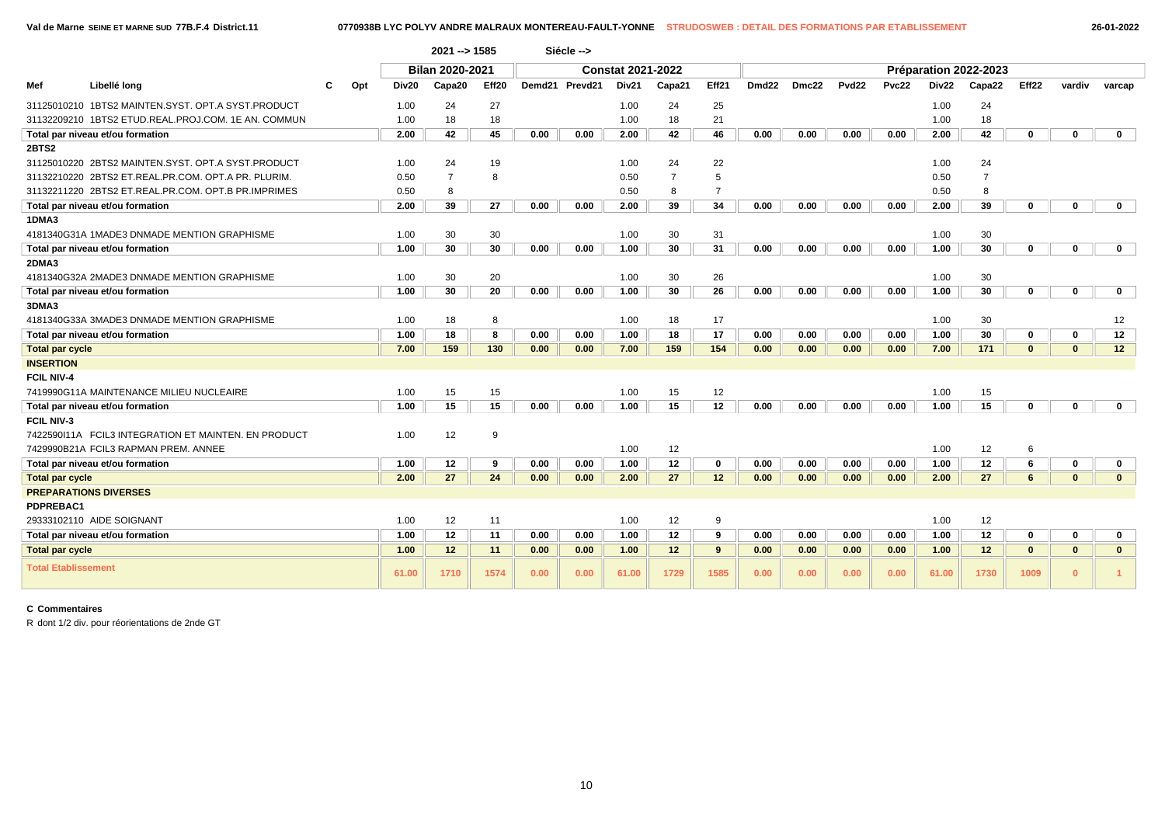|                              |                                                      |     |       | 2021 --> 1585   |       |      | Siécle -->     |                          |                |                |                       |       |                   |       |       |                |              |              |              |  |  |
|------------------------------|------------------------------------------------------|-----|-------|-----------------|-------|------|----------------|--------------------------|----------------|----------------|-----------------------|-------|-------------------|-------|-------|----------------|--------------|--------------|--------------|--|--|
|                              |                                                      |     |       | Bilan 2020-2021 |       |      |                | <b>Constat 2021-2022</b> |                |                | Préparation 2022-2023 |       |                   |       |       |                |              |              |              |  |  |
| Mef                          | Libellé long                                         | Opt | Div20 | Capa20          | Eff20 |      | Demd21 Prevd21 | Div21                    | Capa21         | Eff21          | Dmd <sub>22</sub>     | Dmc22 | Pvd <sub>22</sub> | Pvc22 | Div22 | Capa22         | Eff22        | vardiv       | varcap       |  |  |
|                              | 31125010210 1BTS2 MAINTEN.SYST, OPT.A SYST.PRODUCT   |     | 1.00  | 24              | 27    |      |                | 1.00                     | 24             | 25             |                       |       |                   |       | 1.00  | 24             |              |              |              |  |  |
|                              | 31132209210 1BTS2 ETUD.REAL.PROJ.COM. 1E AN. COMMUN  |     | 1.00  | 18              | 18    |      |                | 1.00                     | 18             | 21             |                       |       |                   |       | 1.00  | 18             |              |              |              |  |  |
|                              | Total par niveau et/ou formation                     |     | 2.00  | 42              | 45    | 0.00 | 0.00           | 2.00                     | 42             | 46             | 0.00                  | 0.00  | 0.00              | 0.00  | 2.00  | 42             | $\mathbf{0}$ | $\mathbf{0}$ | $\mathbf{0}$ |  |  |
| 2BTS2                        |                                                      |     |       |                 |       |      |                |                          |                |                |                       |       |                   |       |       |                |              |              |              |  |  |
|                              | 31125010220 2BTS2 MAINTEN.SYST. OPT.A SYST.PRODUCT   |     | 1.00  | 24              | 19    |      |                | 1.00                     | 24             | 22             |                       |       |                   |       | 1.00  | 24             |              |              |              |  |  |
|                              | 31132210220 2BTS2 ET.REAL.PR.COM. OPT.A PR. PLURIM.  |     | 0.50  | $\overline{7}$  | 8     |      |                | 0.50                     | $\overline{7}$ | 5              |                       |       |                   |       | 0.50  | $\overline{7}$ |              |              |              |  |  |
|                              | 31132211220 2BTS2 ET.REAL.PR.COM. OPT.B PR.IMPRIMES  |     | 0.50  | 8               |       |      |                | 0.50                     | 8              | $\overline{7}$ |                       |       |                   |       | 0.50  | 8              |              |              |              |  |  |
|                              | Total par niveau et/ou formation                     |     | 2.00  | 39              | 27    | 0.00 | 0.00           | 2.00                     | 39             | 34             | 0.00                  | 0.00  | 0.00              | 0.00  | 2.00  | 39             | 0            | $\Omega$     | 0            |  |  |
| 1DMA3                        |                                                      |     |       |                 |       |      |                |                          |                |                |                       |       |                   |       |       |                |              |              |              |  |  |
|                              | 4181340G31A 1MADE3 DNMADE MENTION GRAPHISME          |     | 1.00  | 30              | 30    |      |                | 1.00                     | 30             | 31             |                       |       |                   |       | 1.00  | 30             |              |              |              |  |  |
|                              | Total par niveau et/ou formation                     |     | 1.00  | 30              | 30    | 0.00 | 0.00           | 1.00                     | 30             | 31             | 0.00                  | 0.00  | 0.00              | 0.00  | 1.00  | 30             | 0            | $\Omega$     | 0            |  |  |
| 2DMA3                        |                                                      |     |       |                 |       |      |                |                          |                |                |                       |       |                   |       |       |                |              |              |              |  |  |
|                              | 4181340G32A 2MADE3 DNMADE MENTION GRAPHISME          |     | 1.00  | 30              | 20    |      |                | 1.00                     | 30             | 26             |                       |       |                   |       | 1.00  | 30             |              |              |              |  |  |
|                              | Total par niveau et/ou formation                     |     | 1.00  | 30              | 20    | 0.00 | 0.00           | 1.00                     | 30             | 26             | 0.00                  | 0.00  | 0.00              | 0.00  | 1.00  | 30             | $\mathbf{0}$ | $\Omega$     | $\mathbf 0$  |  |  |
| 3DMA3                        |                                                      |     |       |                 |       |      |                |                          |                |                |                       |       |                   |       |       |                |              |              |              |  |  |
|                              | 4181340G33A 3MADE3 DNMADE MENTION GRAPHISME          |     | 1.00  | 18              | 8     |      |                | 1.00                     | 18             | 17             |                       |       |                   |       | 1.00  | 30             |              |              | 12           |  |  |
|                              | Total par niveau et/ou formation                     |     | 1.00  | 18              | 8     | 0.00 | 0.00           | 1.00                     | 18             | 17             | 0.00                  | 0.00  | 0.00              | 0.00  | 1.00  | 30             | 0            | 0            | 12           |  |  |
| <b>Total par cycle</b>       |                                                      |     | 7.00  | 159             | 130   | 0.00 | 0.00           | 7.00                     | 159            | 154            | 0.00                  | 0.00  | 0.00              | 0.00  | 7.00  | 171            | $\mathbf{0}$ | $\mathbf{0}$ | 12           |  |  |
| <b>INSERTION</b>             |                                                      |     |       |                 |       |      |                |                          |                |                |                       |       |                   |       |       |                |              |              |              |  |  |
| <b>FCIL NIV-4</b>            |                                                      |     |       |                 |       |      |                |                          |                |                |                       |       |                   |       |       |                |              |              |              |  |  |
|                              | 7419990G11A MAINTENANCE MILIEU NUCLEAIRE             |     | 1.00  | 15              | 15    |      |                | 1.00                     | 15             | 12             |                       |       |                   |       | 1.00  | 15             |              |              |              |  |  |
|                              | Total par niveau et/ou formation                     |     | 1.00  | 15              | 15    | 0.00 | 0.00           | 1.00                     | 15             | 12             | 0.00                  | 0.00  | 0.00              | 0.00  | 1.00  | 15             | 0            | 0            | $\mathbf 0$  |  |  |
| <b>FCIL NIV-3</b>            |                                                      |     |       |                 |       |      |                |                          |                |                |                       |       |                   |       |       |                |              |              |              |  |  |
|                              | 7422590111A FCIL3 INTEGRATION ET MAINTEN. EN PRODUCT |     | 1.00  | 12              | 9     |      |                |                          |                |                |                       |       |                   |       |       |                |              |              |              |  |  |
|                              | 7429990B21A FCIL3 RAPMAN PREM. ANNEE                 |     |       |                 |       |      |                | 1.00                     | 12             |                |                       |       |                   |       | 1.00  | 12             | 6            |              |              |  |  |
|                              | Total par niveau et/ou formation                     |     | 1.00  | 12              | 9     | 0.00 | 0.00           | 1.00                     | 12             | $\mathbf 0$    | 0.00                  | 0.00  | 0.00              | 0.00  | 1.00  | 12             | 6            | 0            | 0            |  |  |
| <b>Total par cycle</b>       |                                                      |     | 2.00  | 27              | 24    | 0.00 | 0.00           | 2.00                     | 27             | 12             | 0.00                  | 0.00  | 0.00              | 0.00  | 2.00  | 27             | 6            | $\mathbf{0}$ | $\mathbf{0}$ |  |  |
| <b>PREPARATIONS DIVERSES</b> |                                                      |     |       |                 |       |      |                |                          |                |                |                       |       |                   |       |       |                |              |              |              |  |  |
| PDPREBAC1                    |                                                      |     |       |                 |       |      |                |                          |                |                |                       |       |                   |       |       |                |              |              |              |  |  |
|                              | 29333102110 AIDE SOIGNANT                            |     | 1.00  | 12              | 11    |      |                | 1.00                     | 12             | 9              |                       |       |                   |       | 1.00  | 12             |              |              |              |  |  |
|                              | Total par niveau et/ou formation                     |     | 1.00  | 12              | 11    | 0.00 | 0.00           | 1.00                     | 12             | 9              | 0.00                  | 0.00  | 0.00              | 0.00  | 1.00  | 12             | 0            | 0            | 0            |  |  |
| <b>Total par cycle</b>       |                                                      |     | 1.00  | 12              | 11    | 0.00 | 0.00           | 1.00                     | 12             | 9              | 0.00                  | 0.00  | 0.00              | 0.00  | 1.00  | 12             | $\mathbf{0}$ | $\mathbf{0}$ | $\mathbf{0}$ |  |  |
| <b>Total Etablissement</b>   |                                                      |     | 61.00 | 1710            | 1574  | 0.00 | 0.00           | 61.00                    | 1729           | 1585           | 0.00                  | 0.00  | 0.00              | 0.00  | 61.00 | 1730           | 1009         | $\mathbf{0}$ |              |  |  |

## **C Commentaires**

R dont 1/2 div. pour réorientations de 2nde GT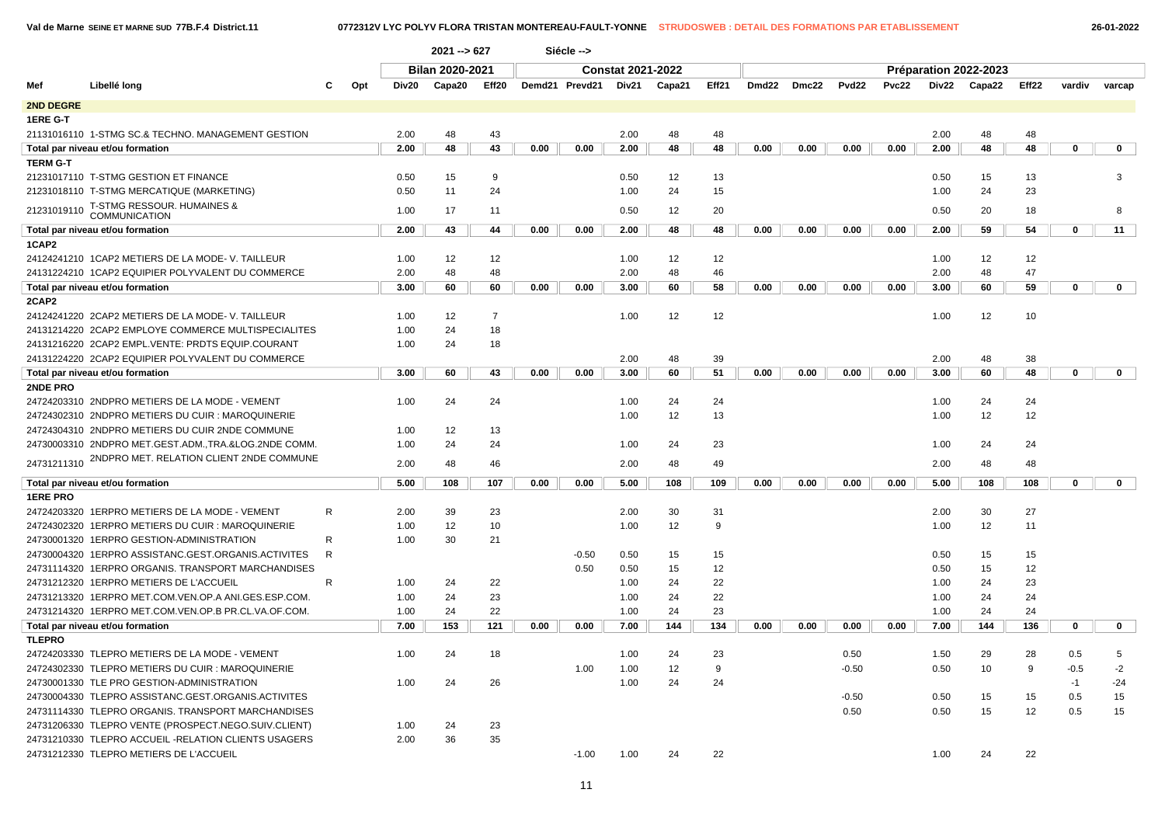|                  |                                                       |              |       | 2021 -- > 627          |                | Siécle --> |                |                          |          |         |                       |       |                 |       |              |          |       |             |             |  |
|------------------|-------------------------------------------------------|--------------|-------|------------------------|----------------|------------|----------------|--------------------------|----------|---------|-----------------------|-------|-----------------|-------|--------------|----------|-------|-------------|-------------|--|
|                  |                                                       |              |       | <b>Bilan 2020-2021</b> |                |            |                | <b>Constat 2021-2022</b> |          |         | Préparation 2022-2023 |       |                 |       |              |          |       |             |             |  |
| Mef              | Libellé long                                          | Opt          | Div20 | Capa20<br>Eff20        |                |            | Demd21 Prevd21 | Div21                    | Capa21   | Eff21   | Dmd22                 | Dmc22 | Pvd22           | Pvc22 | Div22        | Capa22   | Eff22 | vardiv      | varcap      |  |
| <b>2ND DEGRE</b> |                                                       |              |       |                        |                |            |                |                          |          |         |                       |       |                 |       |              |          |       |             |             |  |
|                  |                                                       |              |       |                        |                |            |                |                          |          |         |                       |       |                 |       |              |          |       |             |             |  |
| 1ERE G-T         | 21131016110 1-STMG SC.& TECHNO. MANAGEMENT GESTION    |              |       |                        | 43             |            |                | 2.00                     |          |         |                       |       |                 |       |              |          |       |             |             |  |
|                  |                                                       |              | 2.00  | 48                     |                |            |                |                          | 48       | 48      |                       |       |                 |       | 2.00         | 48       | 48    |             |             |  |
|                  | Total par niveau et/ou formation                      |              | 2.00  | 48                     | 43             | 0.00       | 0.00           | 2.00                     | 48       | 48      | 0.00                  | 0.00  | 0.00            | 0.00  | 2.00         | 48       | 48    | 0           | $\mathbf 0$ |  |
| <b>TERM G-T</b>  |                                                       |              | 0.50  |                        | 9              |            |                |                          |          |         |                       |       |                 |       |              |          |       |             | 3           |  |
|                  | 21231017110 T-STMG GESTION ET FINANCE                 |              |       | 15                     |                |            |                | 0.50                     | 12       | 13      |                       |       |                 |       | 0.50         | 15       | 13    |             |             |  |
|                  | 21231018110 T-STMG MERCATIQUE (MARKETING)             |              | 0.50  | 11                     | 24             |            |                | 1.00                     | 24       | 15      |                       |       |                 |       | 1.00         | 24       | 23    |             |             |  |
| 21231019110      | T-STMG RESSOUR. HUMAINES &<br><b>COMMUNICATION</b>    |              | 1.00  | 17                     | 11             |            |                | 0.50                     | 12       | 20      |                       |       |                 |       | 0.50         | 20       | 18    |             | 8           |  |
|                  | Total par niveau et/ou formation                      |              | 2.00  | 43                     | 44             | 0.00       | 0.00           | 2.00                     | 48       | 48      | 0.00                  | 0.00  | 0.00            | 0.00  | 2.00         | 59       | 54    | 0           | 11          |  |
| 1CAP2            |                                                       |              |       |                        |                |            |                |                          |          |         |                       |       |                 |       |              |          |       |             |             |  |
|                  | 24124241210 1CAP2 METIERS DE LA MODE-V. TAILLEUR      |              | 1.00  | 12                     | 12             |            |                | 1.00                     | 12       | 12      |                       |       |                 |       | 1.00         | 12       | 12    |             |             |  |
|                  | 24131224210 1CAP2 EQUIPIER POLYVALENT DU COMMERCE     |              | 2.00  | 48                     | 48             |            |                | 2.00                     | 48       | 46      |                       |       |                 |       | 2.00         | 48       | 47    |             |             |  |
|                  | Total par niveau et/ou formation                      |              | 3.00  | 60                     | 60             | 0.00       | 0.00           | 3.00                     | 60       | 58      | 0.00                  | 0.00  | 0.00            | 0.00  | 3.00         | 60       | 59    | 0           | $\mathbf 0$ |  |
| 2CAP2            |                                                       |              |       |                        |                |            |                |                          |          |         |                       |       |                 |       |              |          |       |             |             |  |
|                  | 24124241220 2CAP2 METIERS DE LA MODE-V. TAILLEUR      |              | 1.00  | 12                     | $\overline{7}$ |            |                | 1.00                     | 12       | 12      |                       |       |                 |       | 1.00         | 12       | 10    |             |             |  |
|                  | 24131214220 2CAP2 EMPLOYE COMMERCE MULTISPECIALITES   |              | 1.00  | 24                     | 18             |            |                |                          |          |         |                       |       |                 |       |              |          |       |             |             |  |
|                  | 24131216220 2CAP2 EMPL.VENTE: PRDTS EQUIP.COURANT     |              | 1.00  | 24                     | 18             |            |                |                          |          |         |                       |       |                 |       |              |          |       |             |             |  |
|                  | 24131224220 2CAP2 EQUIPIER POLYVALENT DU COMMERCE     |              |       |                        |                |            |                | 2.00                     | 48       | 39      |                       |       |                 |       | 2.00         | 48       | 38    |             |             |  |
|                  | Total par niveau et/ou formation                      |              | 3.00  | 60                     | 43             | 0.00       | 0.00           | 3.00                     | 60       | 51      | 0.00                  | 0.00  | 0.00            | 0.00  | 3.00         | 60       | 48    | $\mathbf 0$ | $\mathbf 0$ |  |
| 2NDE PRO         |                                                       |              |       |                        |                |            |                |                          |          |         |                       |       |                 |       |              |          |       |             |             |  |
|                  | 24724203310 2NDPRO METIERS DE LA MODE - VEMENT        |              | 1.00  | 24                     | 24             |            |                | 1.00                     | 24       | 24      |                       |       |                 |       | 1.00         | 24       | 24    |             |             |  |
|                  | 24724302310 2NDPRO METIERS DU CUIR : MAROQUINERIE     |              |       |                        |                |            |                | 1.00                     | 12       | 13      |                       |       |                 |       | 1.00         | 12       | 12    |             |             |  |
|                  | 24724304310 2NDPRO METIERS DU CUIR 2NDE COMMUNE       |              | 1.00  | 12                     | 13             |            |                |                          |          |         |                       |       |                 |       |              |          |       |             |             |  |
|                  | 24730003310 2NDPRO MET.GEST.ADM., TRA.&LOG.2NDE COMM. |              | 1.00  | 24                     | 24             |            |                | 1.00                     | 24       | 23      |                       |       |                 |       | 1.00         | 24       | 24    |             |             |  |
|                  | 24731211310 2NDPRO MET. RELATION CLIENT 2NDE COMMUNE  |              | 2.00  | 48                     | 46             |            |                | 2.00                     | 48       | 49      |                       |       |                 |       | 2.00         | 48       | 48    |             |             |  |
|                  | Total par niveau et/ou formation                      |              | 5.00  | 108                    | 107            | 0.00       | 0.00           | 5.00                     | 108      | 109     | 0.00                  | 0.00  | 0.00            | 0.00  | 5.00         | 108      | 108   | 0           | $\mathbf 0$ |  |
| <b>1ERE PRO</b>  |                                                       |              |       |                        |                |            |                |                          |          |         |                       |       |                 |       |              |          |       |             |             |  |
|                  | 24724203320 1ERPRO METIERS DE LA MODE - VEMENT        | $\mathsf{R}$ | 2.00  | 39                     | 23             |            |                | 2.00                     | 30       | 31      |                       |       |                 |       | 2.00         | 30       | 27    |             |             |  |
|                  | 24724302320 1ERPRO METIERS DU CUIR : MAROQUINERIE     |              | 1.00  | 12                     | 10             |            |                | 1.00                     | 12       | 9       |                       |       |                 |       | 1.00         | 12       | 11    |             |             |  |
|                  | 24730001320 1ERPRO GESTION-ADMINISTRATION             | R            | 1.00  | 30                     | 21             |            |                |                          |          |         |                       |       |                 |       |              |          |       |             |             |  |
|                  | 24730004320 1ERPRO ASSISTANC.GEST.ORGANIS.ACTIVITES   | R.           |       |                        |                |            | $-0.50$        | 0.50                     | 15       | 15      |                       |       |                 |       | 0.50         | 15       | 15    |             |             |  |
|                  | 24731114320 1ERPRO ORGANIS. TRANSPORT MARCHANDISES    |              |       |                        |                |            | 0.50           | 0.50                     | 15       | 12      |                       |       |                 |       | 0.50         | 15       | 12    |             |             |  |
|                  | 24731212320 1ERPRO METIERS DE L'ACCUEIL               | R.           | 1.00  | 24                     | 22             |            |                | 1.00                     | 24       | 22      |                       |       |                 |       | 1.00         | 24       | 23    |             |             |  |
|                  | 24731213320 1ERPRO MET.COM.VEN.OP.A ANI.GES.ESP.COM.  |              | 1.00  | 24                     | 23             |            |                | 1.00                     | 24       | 22      |                       |       |                 |       | 1.00         | 24       | 24    |             |             |  |
|                  | 24731214320 1ERPRO MET.COM.VEN.OP.B PR.CL.VA.OF.COM.  |              | 1.00  | 24                     | 22             |            |                | 1.00                     | 24       | 23      |                       |       |                 |       | 1.00         | 24       | 24    |             |             |  |
|                  |                                                       |              |       |                        | 121            |            |                |                          |          | 134     |                       |       |                 |       |              | 144      |       |             |             |  |
|                  | Total par niveau et/ou formation                      |              | 7.00  | 153                    |                | 0.00       | 0.00           | 7.00                     | 144      |         | 0.00                  | 0.00  | 0.00            | 0.00  | 7.00         |          | 136   | $\mathbf 0$ | $\mathbf 0$ |  |
| <b>TLEPRO</b>    |                                                       |              |       |                        |                |            |                |                          |          |         |                       |       |                 |       |              |          |       |             |             |  |
|                  | 24724203330 TLEPRO METIERS DE LA MODE - VEMENT        |              | 1.00  | 24                     | 18             |            |                | 1.00                     | 24<br>12 | 23<br>9 |                       |       | 0.50<br>$-0.50$ |       | 1.50<br>0.50 | 29<br>10 | 28    | 0.5         | 5<br>$-2$   |  |
|                  | 24724302330 TLEPRO METIERS DU CUIR : MAROQUINERIE     |              |       |                        |                |            | 1.00           | 1.00                     |          |         |                       |       |                 |       |              |          | 9     | $-0.5$      |             |  |
|                  | 24730001330 TLE PRO GESTION-ADMINISTRATION            |              | 1.00  | 24                     | 26             |            |                | 1.00                     | 24       | 24      |                       |       |                 |       |              |          |       | $-1$        | $-24$       |  |
|                  | 24730004330 TLEPRO ASSISTANC.GEST.ORGANIS.ACTIVITES   |              |       |                        |                |            |                |                          |          |         |                       |       | $-0.50$         |       | 0.50         | 15       | 15    | 0.5         | 15          |  |
|                  | 24731114330 TLEPRO ORGANIS. TRANSPORT MARCHANDISES    |              |       |                        |                |            |                |                          |          |         |                       |       | 0.50            |       | 0.50         | 15       | 12    | 0.5         | 15          |  |
|                  | 24731206330 TLEPRO VENTE (PROSPECT.NEGO.SUIV.CLIENT)  |              | 1.00  | 24                     | 23             |            |                |                          |          |         |                       |       |                 |       |              |          |       |             |             |  |
|                  | 24731210330 TLEPRO ACCUEIL - RELATION CLIENTS USAGERS |              | 2.00  | 36                     | 35             |            |                |                          |          |         |                       |       |                 |       |              |          |       |             |             |  |
|                  | 24731212330 TLEPRO METIERS DE L'ACCUEIL               |              |       |                        |                |            | $-1.00$        | 1.00                     | 24       | 22      |                       |       |                 |       | 1.00         | 24       | 22    |             |             |  |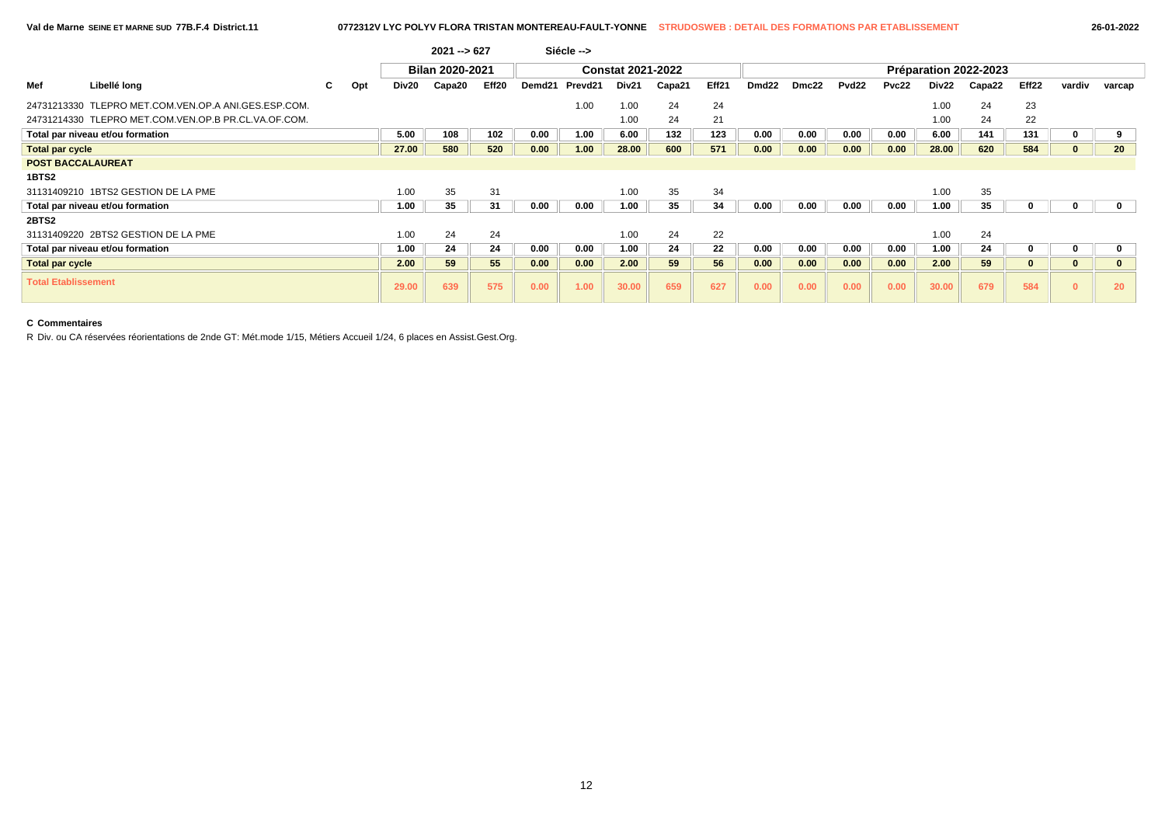|                            |                                                      |    |     |                   | $2021 - 627$    |       |        | Siécle --> |                          |        |       |                       |       |                   |       |                   |        |          |          |              |  |
|----------------------------|------------------------------------------------------|----|-----|-------------------|-----------------|-------|--------|------------|--------------------------|--------|-------|-----------------------|-------|-------------------|-------|-------------------|--------|----------|----------|--------------|--|
|                            |                                                      |    |     |                   | Bilan 2020-2021 |       |        |            | <b>Constat 2021-2022</b> |        |       | Préparation 2022-2023 |       |                   |       |                   |        |          |          |              |  |
| Mef                        | Libellé long                                         | C. | Opt | Div <sub>20</sub> | Capa20          | Eff20 | Demd21 | Prevd21    | Div <sub>21</sub>        | Capa21 | Eff21 | Dmd <sub>22</sub>     | Dmc22 | Pvd <sub>22</sub> | Pvc22 | Div <sub>22</sub> | Capa22 | Eff22    | vardiv   | varcap       |  |
|                            | 24731213330 TLEPRO MET.COM.VEN.OP.A ANI.GES.ESP.COM. |    |     |                   |                 |       |        | 1.00       | 1.00                     | 24     | 24    |                       |       |                   |       | 1.00              | 24     | 23       |          |              |  |
|                            | 24731214330 TLEPRO MET.COM.VEN.OP.B PR.CL.VA.OF.COM. |    |     |                   |                 |       |        |            | 1.00                     | 24     | 21    |                       |       |                   |       | 1.00              | 24     | 22       |          |              |  |
|                            | Total par niveau et/ou formation                     |    |     | 5.00              | 108             | 102   | 0.00   | 1.00       | 6.00                     | 132    | 123   | 0.00                  | 0.00  | 0.00              | 0.00  | 6.00              | 141    | 131      |          | 9            |  |
| <b>Total par cycle</b>     |                                                      |    |     | 27.00             | 580             | 520   | 0.00   | 1.00       | 28.00                    | 600    | 571   | 0.00                  | 0.00  | 0.00              | 0.00  | 28.00             | 620    | 584      |          | 20           |  |
| <b>POST BACCALAUREAT</b>   |                                                      |    |     |                   |                 |       |        |            |                          |        |       |                       |       |                   |       |                   |        |          |          |              |  |
| 1BTS2                      |                                                      |    |     |                   |                 |       |        |            |                          |        |       |                       |       |                   |       |                   |        |          |          |              |  |
|                            | 31131409210 1BTS2 GESTION DE LA PME                  |    |     | 1.00              | 35              | 31    |        |            | 1.00                     | 35     | 34    |                       |       |                   |       | 1.00              | 35     |          |          |              |  |
|                            | Total par niveau et/ou formation                     |    |     | 1.00              | 35              | 31    | 0.00   | 0.00       | 1.00                     | 35     | 34    | 0.00                  | 0.00  | 0.00              | 0.00  | 1.00              | 35     |          |          | $\mathbf 0$  |  |
| 2BTS2                      |                                                      |    |     |                   |                 |       |        |            |                          |        |       |                       |       |                   |       |                   |        |          |          |              |  |
|                            | 31131409220 2BTS2 GESTION DE LA PME                  |    |     | 1.00              | 24              | 24    |        |            | 1.00                     | 24     | 22    |                       |       |                   |       | 1.00              | 24     |          |          |              |  |
|                            | Total par niveau et/ou formation                     |    |     | 1.00              | 24              | 24    | 0.00   | 0.00       | 1.00                     | 24     | 22    | 0.00                  | 0.00  | 0.00              | 0.00  | 1.00              | 24     |          |          | 0            |  |
| <b>Total par cycle</b>     |                                                      |    |     | 2.00              | 59              | 55    | 0.00   | 0.00       | 2.00                     | 59     | 56    | 0.00                  | 0.00  | 0.00              | 0.00  | 2.00              | 59     | $\bf{0}$ | $\bf{0}$ | $\mathbf{0}$ |  |
| <b>Total Etablissement</b> |                                                      |    |     | 29.00             | 639             | 575   | 0.00   | 1.00       | 30.00                    | 659    | 627   | 0.00                  | 0.00  | 0.00              | 0.00  | 30.00             | 679    | 584      | $\Omega$ | 20           |  |

## **C Commentaires**

R Div. ou CA réservées réorientations de 2nde GT: Mét.mode 1/15, Métiers Accueil 1/24, 6 places en Assist.Gest.Org.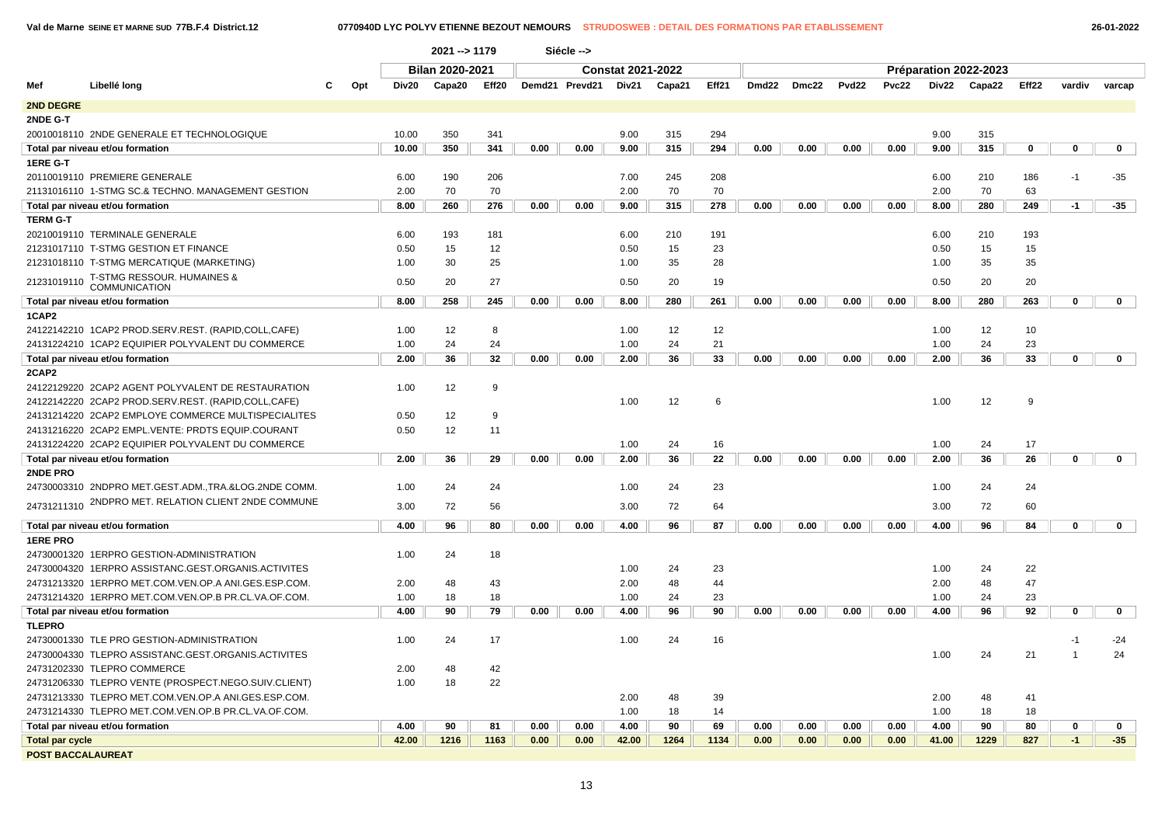**Val de Marne SEINE ET MARNE SUD 77B.F.4 District.12 0770940D LYC POLYV ETIENNE BEZOUT NEMOURS STRUDOSWEB : DETAIL DES FORMATIONS PAR ETABLISSEMENT 26-01-2022**

|                        |                                                      |   | 2021 --> 1179 |       |                 | Siécle --> |      |                          |       |        |                       |       |       |                   |              |       |        |             |              |             |
|------------------------|------------------------------------------------------|---|---------------|-------|-----------------|------------|------|--------------------------|-------|--------|-----------------------|-------|-------|-------------------|--------------|-------|--------|-------------|--------------|-------------|
|                        |                                                      |   |               |       | Bilan 2020-2021 |            |      | <b>Constat 2021-2022</b> |       |        | Préparation 2022-2023 |       |       |                   |              |       |        |             |              |             |
| Mef                    | Libellé long                                         | C | Opt           | Div20 | Capa20          | Eff20      |      | Demd21 Prevd21           | Div21 | Capa21 | Eff21                 | Dmd22 | Dmc22 | Pvd <sub>22</sub> | <b>Pvc22</b> | Div22 | Capa22 | Eff22       | vardiv       | varcap      |
| 2ND DEGRE              |                                                      |   |               |       |                 |            |      |                          |       |        |                       |       |       |                   |              |       |        |             |              |             |
| 2NDE G-T               |                                                      |   |               |       |                 |            |      |                          |       |        |                       |       |       |                   |              |       |        |             |              |             |
|                        | 20010018110 2NDE GENERALE ET TECHNOLOGIQUE           |   |               | 10.00 | 350             | 341        |      |                          | 9.00  | 315    | 294                   |       |       |                   |              | 9.00  | 315    |             |              |             |
|                        | Total par niveau et/ou formation                     |   |               | 10.00 | 350             | 341        | 0.00 | 0.00                     | 9.00  | 315    | 294                   | 0.00  | 0.00  | 0.00              | 0.00         | 9.00  | 315    | $\mathbf 0$ | $\mathbf 0$  | $\mathbf 0$ |
| 1ERE G-T               |                                                      |   |               |       |                 |            |      |                          |       |        |                       |       |       |                   |              |       |        |             |              |             |
|                        | 20110019110 PREMIERE GENERALE                        |   |               | 6.00  | 190             | 206        |      |                          | 7.00  | 245    | 208                   |       |       |                   |              | 6.00  | 210    | 186         | $-1$         | $-35$       |
|                        | 21131016110 1-STMG SC.& TECHNO. MANAGEMENT GESTION   |   |               | 2.00  | 70              | 70         |      |                          | 2.00  | 70     | 70                    |       |       |                   |              | 2.00  | 70     | 63          |              |             |
|                        | Total par niveau et/ou formation                     |   |               | 8.00  | 260             | 276        | 0.00 | 0.00                     | 9.00  | 315    | 278                   | 0.00  | 0.00  | 0.00              | 0.00         | 8.00  | 280    | 249         | $-1$         | $-35$       |
| <b>TERM G-T</b>        |                                                      |   |               |       |                 |            |      |                          |       |        |                       |       |       |                   |              |       |        |             |              |             |
|                        | 20210019110 TERMINALE GENERALE                       |   |               | 6.00  | 193             | 181        |      |                          | 6.00  | 210    | 191                   |       |       |                   |              | 6.00  | 210    | 193         |              |             |
|                        | 21231017110 T-STMG GESTION ET FINANCE                |   |               | 0.50  | 15              | 12         |      |                          | 0.50  | 15     | 23                    |       |       |                   |              | 0.50  | 15     | 15          |              |             |
|                        | 21231018110 T-STMG MERCATIQUE (MARKETING)            |   |               | 1.00  | 30              | 25         |      |                          | 1.00  | 35     | 28                    |       |       |                   |              | 1.00  | 35     | 35          |              |             |
| 21231019110            | T-STMG RESSOUR. HUMAINES & COMMUNICATION             |   |               | 0.50  | 20              | 27         |      |                          | 0.50  | 20     | 19                    |       |       |                   |              | 0.50  | 20     | 20          |              |             |
|                        | Total par niveau et/ou formation                     |   |               | 8.00  | 258             | 245        | 0.00 | 0.00                     | 8.00  | 280    | 261                   | 0.00  | 0.00  | 0.00              | 0.00         | 8.00  | 280    | 263         | $\mathbf 0$  | $\mathbf 0$ |
| 1CAP2                  |                                                      |   |               |       |                 |            |      |                          |       |        |                       |       |       |                   |              |       |        |             |              |             |
|                        | 24122142210 1CAP2 PROD.SERV.REST. (RAPID,COLL,CAFE)  |   |               | 1.00  | 12              | 8          |      |                          | 1.00  | 12     | 12                    |       |       |                   |              | 1.00  | 12     | 10          |              |             |
|                        | 24131224210 1CAP2 EQUIPIER POLYVALENT DU COMMERCE    |   |               | 1.00  | 24              | 24         |      |                          | 1.00  | 24     | 21                    |       |       |                   |              | 1.00  | 24     | 23          |              |             |
|                        | Total par niveau et/ou formation                     |   |               | 2.00  | 36              | 32         | 0.00 | 0.00                     | 2.00  | 36     | 33                    | 0.00  | 0.00  | 0.00              | 0.00         | 2.00  | 36     | 33          | $\mathbf 0$  | $\mathbf 0$ |
| 2CAP2                  |                                                      |   |               |       |                 |            |      |                          |       |        |                       |       |       |                   |              |       |        |             |              |             |
|                        | 24122129220 2CAP2 AGENT POLYVALENT DE RESTAURATION   |   |               | 1.00  | 12              | 9          |      |                          |       |        |                       |       |       |                   |              |       |        |             |              |             |
|                        | 24122142220 2CAP2 PROD.SERV.REST. (RAPID,COLL,CAFE)  |   |               |       |                 |            |      |                          | 1.00  | 12     | 6                     |       |       |                   |              | 1.00  | 12     | 9           |              |             |
|                        | 24131214220 2CAP2 EMPLOYE COMMERCE MULTISPECIALITES  |   |               | 0.50  | 12              | 9          |      |                          |       |        |                       |       |       |                   |              |       |        |             |              |             |
|                        | 24131216220 2CAP2 EMPL.VENTE: PRDTS EQUIP.COURANT    |   |               | 0.50  | 12              | 11         |      |                          |       |        |                       |       |       |                   |              |       |        |             |              |             |
|                        | 24131224220 2CAP2 EQUIPIER POLYVALENT DU COMMERCE    |   |               |       |                 |            |      |                          | 1.00  | 24     | 16                    |       |       |                   |              | 1.00  | 24     | 17          |              |             |
|                        | Total par niveau et/ou formation                     |   |               | 2.00  | 36              | 29         | 0.00 | 0.00                     | 2.00  | 36     | 22                    | 0.00  | 0.00  | 0.00              | 0.00         | 2.00  | 36     | 26          | $\mathbf{0}$ | $\mathbf 0$ |
| 2NDE PRO               |                                                      |   |               |       |                 |            |      |                          |       |        |                       |       |       |                   |              |       |        |             |              |             |
|                        | 24730003310 2NDPRO MET.GEST.ADM.,TRA.&LOG.2NDE COMM. |   |               | 1.00  | 24              | 24         |      |                          | 1.00  | 24     | 23                    |       |       |                   |              | 1.00  | 24     | 24          |              |             |
| 24731211310            | 2NDPRO MET. RELATION CLIENT 2NDE COMMUNE             |   |               | 3.00  | 72              | 56         |      |                          | 3.00  | 72     | 64                    |       |       |                   |              | 3.00  | 72     | 60          |              |             |
|                        |                                                      |   |               |       |                 |            |      |                          |       |        |                       |       |       |                   |              |       |        |             |              |             |
|                        | Total par niveau et/ou formation                     |   |               | 4.00  | 96              | 80         | 0.00 | 0.00                     | 4.00  | 96     | 87                    | 0.00  | 0.00  | 0.00              | 0.00         | 4.00  | 96     | 84          | $\mathbf 0$  | $\mathbf 0$ |
| <b>1ERE PRO</b>        |                                                      |   |               |       |                 |            |      |                          |       |        |                       |       |       |                   |              |       |        |             |              |             |
|                        | 24730001320 1ERPRO GESTION-ADMINISTRATION            |   |               | 1.00  | 24              | 18         |      |                          |       |        |                       |       |       |                   |              |       |        |             |              |             |
|                        | 24730004320 1ERPRO ASSISTANC.GEST.ORGANIS.ACTIVITES  |   |               |       |                 |            |      |                          | 1.00  | 24     | 23                    |       |       |                   |              | 1.00  | 24     | 22          |              |             |
|                        | 24731213320 1ERPRO MET.COM.VEN.OP.A ANI.GES.ESP.COM  |   |               | 2.00  | 48              | 43         |      |                          | 2.00  | 48     | 44                    |       |       |                   |              | 2.00  | 48     | 47          |              |             |
|                        | 24731214320 1ERPRO MET.COM.VEN.OP.B PR.CL.VA.OF.COM. |   |               | 1.00  | 18              | 18         |      |                          | 1.00  | 24     | 23                    |       |       |                   |              | 1.00  | 24     | 23          |              |             |
|                        | Total par niveau et/ou formation                     |   |               | 4.00  | 90              | 79         | 0.00 | 0.00                     | 4.00  | 96     | 90                    | 0.00  | 0.00  | 0.00              | 0.00         | 4.00  | 96     | 92          | $\mathbf 0$  | $\mathbf 0$ |
| <b>TLEPRO</b>          |                                                      |   |               |       |                 |            |      |                          |       |        |                       |       |       |                   |              |       |        |             |              |             |
|                        | 24730001330 TLE PRO GESTION-ADMINISTRATION           |   |               | 1.00  | 24              | 17         |      |                          | 1.00  | 24     | 16                    |       |       |                   |              |       |        |             | $-1$         | $-24$       |
|                        | 24730004330 TLEPRO ASSISTANC.GEST.ORGANIS.ACTIVITES  |   |               |       |                 |            |      |                          |       |        |                       |       |       |                   |              | 1.00  | 24     | 21          |              | 24          |
|                        | 24731202330 TLEPRO COMMERCE                          |   |               | 2.00  | 48              | 42         |      |                          |       |        |                       |       |       |                   |              |       |        |             |              |             |
|                        | 24731206330 TLEPRO VENTE (PROSPECT.NEGO.SUIV.CLIENT) |   |               | 1.00  | 18              | 22         |      |                          |       |        |                       |       |       |                   |              |       |        |             |              |             |
|                        | 24731213330 TLEPRO MET.COM.VEN.OP.A ANI.GES.ESP.COM. |   |               |       |                 |            |      |                          | 2.00  | 48     | 39                    |       |       |                   |              | 2.00  | 48     | 41          |              |             |
|                        | 24731214330 TLEPRO MET.COM.VEN.OP.B PR.CL.VA.OF.COM. |   |               |       |                 |            |      |                          | 1.00  | 18     | 14                    |       |       |                   |              | 1.00  | 18     | 18          |              |             |
|                        | Total par niveau et/ou formation                     |   |               | 4.00  | 90              | 81         | 0.00 | 0.00                     | 4.00  | 90     | 69                    | 0.00  | 0.00  | 0.00              | 0.00         | 4.00  | 90     | 80          | 0            | $\mathbf 0$ |
| <b>Total par cycle</b> |                                                      |   |               | 42.00 | 1216            | 1163       | 0.00 | 0.00                     | 42.00 | 1264   | 1134                  | 0.00  | 0.00  | 0.00              | 0.00         | 41.00 | 1229   | 827         | $-1$         | $-35$       |
|                        | <b>POST BACCALAUREAT</b>                             |   |               |       |                 |            |      |                          |       |        |                       |       |       |                   |              |       |        |             |              |             |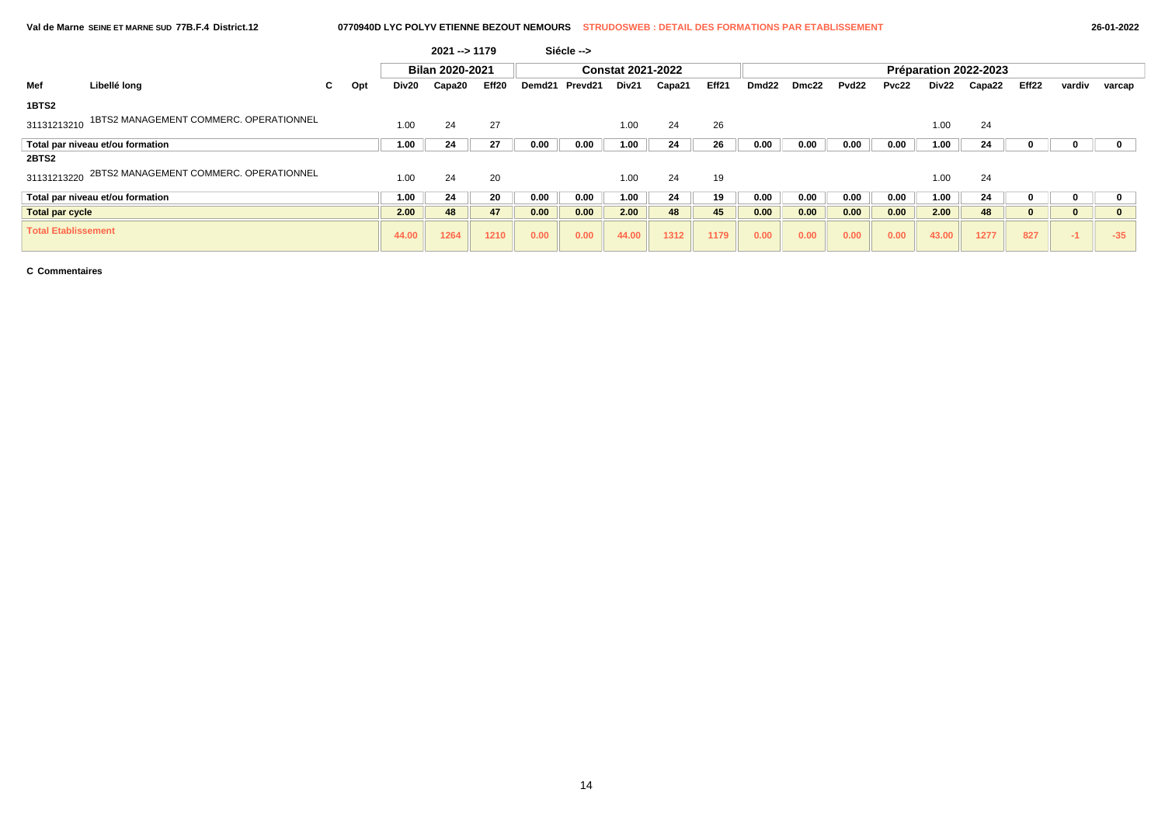# **Val de Marne SEINE ET MARNE SUD 77B.F.4 District.12 0770940D LYC POLYV ETIENNE BEZOUT NEMOURS STRUDOSWEB : DETAIL DES FORMATIONS PAR ETABLISSEMENT 26-01-2022**

|                            |                                        |    |     |       | $2021 - 1179$   |       |      | Siécle -->     |                          |        |       |                       |       |                   |       |       |        |          |          |              |  |  |
|----------------------------|----------------------------------------|----|-----|-------|-----------------|-------|------|----------------|--------------------------|--------|-------|-----------------------|-------|-------------------|-------|-------|--------|----------|----------|--------------|--|--|
|                            |                                        |    |     |       | Bilan 2020-2021 |       |      |                | <b>Constat 2021-2022</b> |        |       | Préparation 2022-2023 |       |                   |       |       |        |          |          |              |  |  |
| Mef                        | Libellé long                           | C. | Opt | Div20 | Capa20          | Eff20 |      | Demd21 Prevd21 | Div21                    | Capa21 | Eff21 | Dmd <sub>22</sub>     | Dmc22 | Pvd <sub>22</sub> | Pvc22 | Div22 | Capa22 | Eff22    | vardiv   | varcap       |  |  |
| 1BTS2                      |                                        |    |     |       |                 |       |      |                |                          |        |       |                       |       |                   |       |       |        |          |          |              |  |  |
| 31131213210                | 1BTS2 MANAGEMENT COMMERC. OPERATIONNEL |    |     | 1.00  | 24              | 27    |      |                | 1.00                     | 24     | 26    |                       |       |                   |       | 1.00  | 24     |          |          |              |  |  |
|                            | Total par niveau et/ou formation       |    |     | 1.00  | 24              | 27    | 0.00 | 0.00           | 1.00                     | 24     | 26    | 0.00                  | 0.00  | 0.00              | 0.00  | 1.00  | 24     |          |          |              |  |  |
| 2BTS2                      |                                        |    |     |       |                 |       |      |                |                          |        |       |                       |       |                   |       |       |        |          |          |              |  |  |
| 31131213220                | 2BTS2 MANAGEMENT COMMERC. OPERATIONNEL |    |     | 1.00  | 24              | 20    |      |                | 1.00                     | 24     | 19    |                       |       |                   |       | 1.00  | 24     |          |          |              |  |  |
|                            | Total par niveau et/ou formation       |    |     | 1.00  | 24              | 20    | 0.00 | 0.00           | 1.00                     | 24     | 19    | 0.00                  | 0.00  | 0.00              | 0.00  | 1.00  | 24     |          |          |              |  |  |
| <b>Total par cycle</b>     |                                        |    |     | 2.00  | 48              | 47    | 0.00 | 0.00           | 2.00                     | 48     | 45    | 0.00                  | 0.00  | 0.00              | 0.00  | 2.00  | 48     | $\bf{0}$ | $\bf{0}$ | $\mathbf{0}$ |  |  |
| <b>Total Etablissement</b> |                                        |    |     | 44.00 | 1264            | 1210  | 0.00 | 0.00           | 44.00                    | 1312   | 1179  | 0.00                  | 0.00  | 0.00              | 0.00  | 43.00 | 1277   | 827      | $-1$     | $-35$        |  |  |

**C Commentaires**

 $\sqrt{2}$